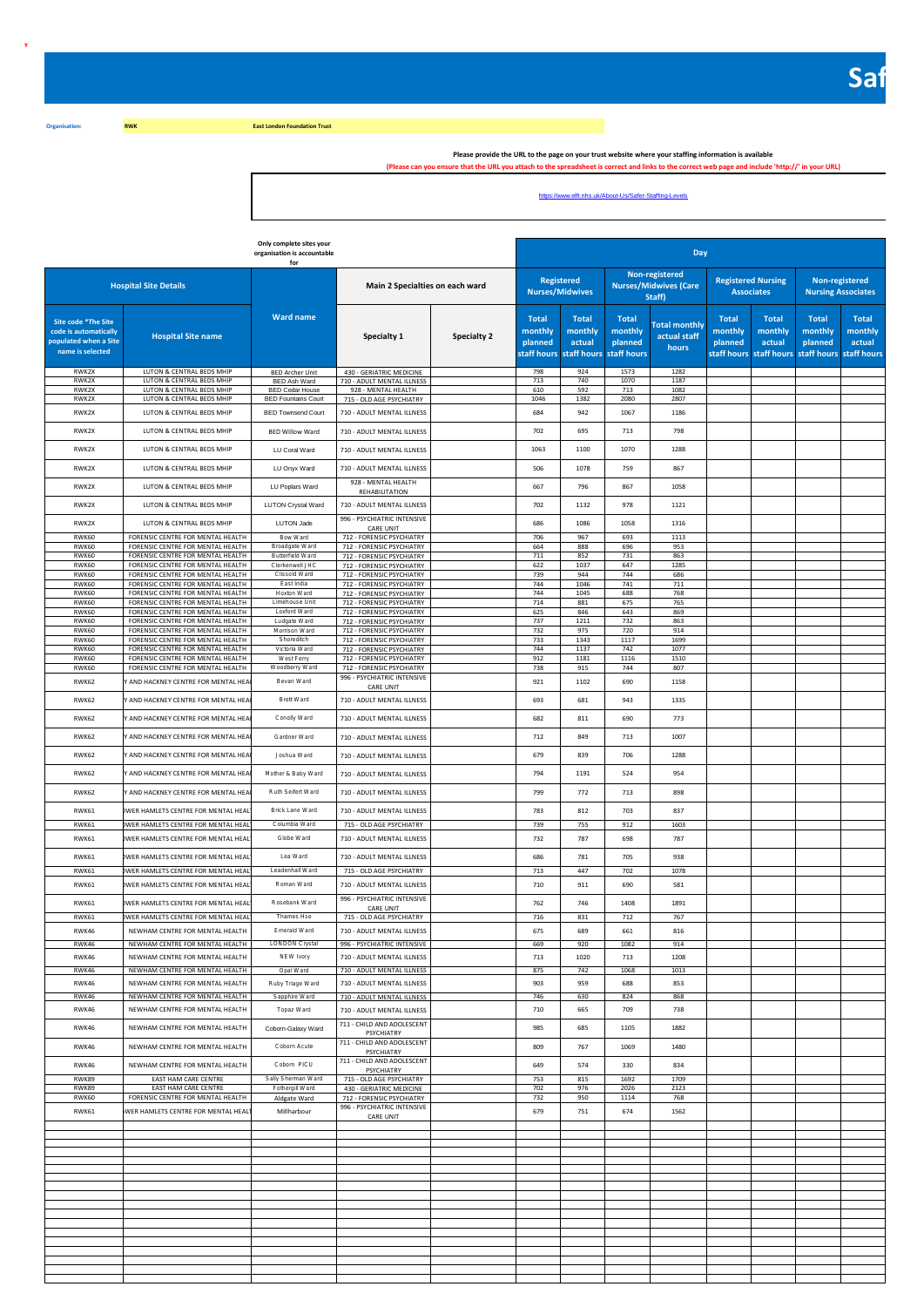**East London Foundation Trust** 

**Organisation: RWK**

**Y**

Please provide the URL to the page on your trust website where your staffing information is available "<br>(Please can you ensure that the URL you attach to the spreadsheet is correct and links to the correct web page and inc

https://www.elft.nhs.uk/About-Us/Safer-Staffing-Levels

|                                                                                           |                                                                           | Only complete sites your<br>organisation is accountable<br>for |                                                           |             |                                    |                                                              |                                                   | Day                                                      |                                                |                                                                                      |                                             |                                   |
|-------------------------------------------------------------------------------------------|---------------------------------------------------------------------------|----------------------------------------------------------------|-----------------------------------------------------------|-------------|------------------------------------|--------------------------------------------------------------|---------------------------------------------------|----------------------------------------------------------|------------------------------------------------|--------------------------------------------------------------------------------------|---------------------------------------------|-----------------------------------|
|                                                                                           | <b>Hospital Site Details</b>                                              |                                                                | Main 2 Specialties on each ward                           |             | <b>Nurses/Midwives</b>             | Registered                                                   |                                                   | Non-registered<br><b>Nurses/Midwives (Care</b><br>Staff) | <b>Registered Nursing</b><br><b>Associates</b> |                                                                                      | Non-registered<br><b>Nursing Associates</b> |                                   |
| Site code *The Site<br>code is automatically<br>populated when a Site<br>name is selected | <b>Hospital Site name</b>                                                 | <b>Ward name</b>                                               | Specialty 1                                               | Specialty 2 | <b>Total</b><br>monthly<br>planned | <b>Total</b><br>monthly<br>actual<br>staff hours staff hours | <b>Total</b><br>monthly<br>planned<br>staff hours | <b>Total monthly</b><br>actual staff<br>hours            | <b>Total</b><br>monthly<br>planned             | <b>Total</b><br>monthly<br>actual<br>staff hours staff hours staff hours staff hours | Total<br>monthly<br>planned                 | <b>Total</b><br>monthly<br>actual |
| RWK2X<br>RWK2X                                                                            | LUTON & CENTRAL BEDS MHIP<br>LUTON & CENTRAL BEDS MHIP                    | <b>BED Archer Unit</b><br>BED Ash Ward                         | 430 - GERIATRIC MEDICINE<br>710 - ADULT MENTAL ILLNESS    |             | 798<br>713                         | 924<br>740                                                   | 1573<br>1070                                      | 1282<br>1187                                             |                                                |                                                                                      |                                             |                                   |
| RWK2X                                                                                     | LUTON & CENTRAL BEDS MHIP                                                 | <b>BED Cedar House</b>                                         | 928 - MENTAL HEALTH                                       |             | 610                                | 592<br>1382                                                  | 713                                               | 1082                                                     |                                                |                                                                                      |                                             |                                   |
| RWK2X<br>RWK2X                                                                            | LUTON & CENTRAL BEDS MHIP<br>LUTON & CENTRAL BEDS MHIP                    | <b>BED Fountains Court</b><br><b>BED Townsend Court</b>        | 715 - OLD AGE PSYCHIATRY<br>710 - ADULT MENTAL ILLNESS    |             | 1046<br>684                        | 942                                                          | 2080<br>1067                                      | 2807<br>1186                                             |                                                |                                                                                      |                                             |                                   |
| RWK2X                                                                                     | LUTON & CENTRAL BEDS MHIP                                                 |                                                                | 710 - ADULT MENTAL ILLNESS                                |             |                                    | 695                                                          |                                                   |                                                          |                                                |                                                                                      |                                             |                                   |
| RWK2X                                                                                     | LUTON & CENTRAL BEDS MHIP                                                 | <b>BED Willow Ward</b><br>LU Coral Ward                        | 710 - ADULT MENTAL ILLNESS                                |             | 702<br>1063                        | 1100                                                         | 713<br>1070                                       | 798<br>1288                                              |                                                |                                                                                      |                                             |                                   |
| RWK2X                                                                                     | LUTON & CENTRAL BEDS MHIP                                                 | LU Onyx Ward                                                   | 710 - ADULT MENTAL ILLNESS                                |             | 506                                | 1078                                                         | 759                                               | 867                                                      |                                                |                                                                                      |                                             |                                   |
| RWK2X                                                                                     | LUTON & CENTRAL BEDS MHIP                                                 | LU Poplars Ward                                                | 928 - MENTAL HEALTH                                       |             | 667                                | 796                                                          | 867                                               | 1058                                                     |                                                |                                                                                      |                                             |                                   |
| RWK2X                                                                                     | LUTON & CENTRAL BEDS MHIP                                                 | LUTON Crystal Ward                                             | <b>REHABILITATION</b><br>710 - ADULT MENTAL ILLNESS       |             | 702                                | 1132                                                         | 978                                               | 1121                                                     |                                                |                                                                                      |                                             |                                   |
|                                                                                           |                                                                           |                                                                | 996 - PSYCHIATRIC INTENSIVE                               |             |                                    |                                                              |                                                   |                                                          |                                                |                                                                                      |                                             |                                   |
| RWK2X<br>RWK60                                                                            | LUTON & CENTRAL BEDS MHIP<br>FORENSIC CENTRE FOR MENTAL HEALTH            | LUTON Jade<br>Bow Ward                                         | CARE UNIT<br>712 - FORENSIC PSYCHIATRY                    |             | 686<br>706                         | 1086<br>967                                                  | 1058<br>693                                       | 1316<br>1113                                             |                                                |                                                                                      |                                             |                                   |
| RWK60                                                                                     | FORENSIC CENTRE FOR MENTAL HEALTH                                         | Broadgate Ward                                                 | 712 - FORENSIC PSYCHIATRY                                 |             | 664                                | 888                                                          | 696                                               | 953                                                      |                                                |                                                                                      |                                             |                                   |
| RWK60<br>RWK60                                                                            | FORENSIC CENTRE FOR MENTAL HEALTH<br>FORENSIC CENTRE FOR MENTAL HEALTH    | Butterfield Ward<br>Clerkenwell JHC                            | 712 - FORENSIC PSYCHIATRY<br>712 - FORENSIC PSYCHIATRY    |             | 711<br>622                         | 852<br>1037                                                  | 731<br>647                                        | 863<br>1285                                              |                                                |                                                                                      |                                             |                                   |
| RWK60                                                                                     | FORENSIC CENTRE FOR MENTAL HEALTH<br>FORENSIC CENTRE FOR MENTAL HEALTH    | Clissold Ward                                                  | 712 - FORENSIC PSYCHIATRY                                 |             | 739<br>744                         | 944<br>1046                                                  | 744<br>741                                        | 686<br>711                                               |                                                |                                                                                      |                                             |                                   |
| RWK60<br>RWK60                                                                            | FORENSIC CENTRE FOR MENTAL HEALTH                                         | East India<br>Hoxton Ward                                      | 712 - FORENSIC PSYCHIATRY<br>712 - FORENSIC PSYCHIATRY    |             | 744                                | 1045                                                         | 688                                               | 768                                                      |                                                |                                                                                      |                                             |                                   |
| RWK60<br>RWK60                                                                            | FORENSIC CENTRE FOR MENTAL HEALTH<br>FORENSIC CENTRE FOR MENTAL HEALTH    | Limehouse Unit<br>Loxford Ward                                 | 712 - FORENSIC PSYCHIATRY<br>712 - FORENSIC PSYCHIATRY    |             | 714<br>625                         | 881<br>846                                                   | 675<br>643                                        | 765<br>869                                               |                                                |                                                                                      |                                             |                                   |
| RWK60                                                                                     | FORENSIC CENTRE FOR MENTAL HEALTH                                         | Ludgate Ward                                                   | 712 - FORENSIC PSYCHIATRY                                 |             | 737                                | 1211                                                         | 732                                               | 863                                                      |                                                |                                                                                      |                                             |                                   |
| RWK60<br>RWK60                                                                            | FORENSIC CENTRE FOR MENTAL HEALTH<br>FORENSIC CENTRE FOR MENTAL HEALTH    | Morrison Ward<br>Shoreditch                                    | 712 - FORENSIC PSYCHIATRY<br>712 - FORENSIC PSYCHIATRY    |             | 732<br>733                         | 975<br>1343                                                  | 720<br>1117                                       | 914<br>1699                                              |                                                |                                                                                      |                                             |                                   |
| RWK60                                                                                     | FORENSIC CENTRE FOR MENTAL HEALTH                                         | Victoria Ward                                                  | 712 - FORENSIC PSYCHIATRY                                 |             | 744                                | 1137                                                         | 742                                               | 1077                                                     |                                                |                                                                                      |                                             |                                   |
| RWK60<br>RWK60                                                                            | FORENSIC CENTRE FOR MENTAL HEALTH<br>FORENSIC CENTRE FOR MENTAL HEALTH    | West Ferry<br>Woodberry Ward                                   | 712 - FORENSIC PSYCHIATRY<br>712 - FORENSIC PSYCHIATRY    |             | 912<br>738                         | 1181<br>915                                                  | 1116<br>744                                       | 1510<br>807                                              |                                                |                                                                                      |                                             |                                   |
| RWK62                                                                                     | AND HACKNEY CENTRE FOR MENTAL HEA                                         | Bevan Ward                                                     | 996 - PSYCHIATRIC INTENSIVE<br>CARE UNIT                  |             | 921                                | 1102                                                         | 690                                               | 1158                                                     |                                                |                                                                                      |                                             |                                   |
| RWK62                                                                                     | Y AND HACKNEY CENTRE FOR MENTAL HEA                                       | Brett Ward                                                     | 710 - ADULT MENTAL ILLNESS                                |             | 693                                | 681                                                          | 943                                               | 1335                                                     |                                                |                                                                                      |                                             |                                   |
| RWK62                                                                                     | Y AND HACKNEY CENTRE FOR MENTAL HEA                                       | Conolly Ward                                                   | 710 - ADULT MENTAL ILLNESS                                |             | 682                                | 811                                                          | 690                                               | 773                                                      |                                                |                                                                                      |                                             |                                   |
| RWK62                                                                                     | Y AND HACKNEY CENTRE FOR MENTAL HEA                                       | Gardner Ward                                                   | 710 - ADULT MENTAL ILLNESS                                |             | 712                                | 849                                                          | 713                                               | 1007                                                     |                                                |                                                                                      |                                             |                                   |
| RWK62                                                                                     | Y AND HACKNEY CENTRE FOR MENTAL HEA                                       | Joshua Ward                                                    | 710 - ADULT MENTAL ILLNESS                                |             | 679                                | 839                                                          | 706                                               | 1288                                                     |                                                |                                                                                      |                                             |                                   |
| RWK62                                                                                     | Y AND HACKNEY CENTRE FOR MENTAL HEA                                       | Mother & Baby Ward                                             | 710 - ADULT MENTAL ILLNESS                                |             | 794                                | 1191                                                         | 524                                               | 954                                                      |                                                |                                                                                      |                                             |                                   |
| RWK62                                                                                     | Y AND HACKNEY CENTRE FOR MENTAL HEA                                       | Ruth Seifert Ward                                              | 710 - ADULT MENTAL ILLNESS                                |             | 799                                | 772                                                          | 713                                               | 898                                                      |                                                |                                                                                      |                                             |                                   |
| RWK61                                                                                     | WER HAMLETS CENTRE FOR MENTAL HEAL                                        | Brick Lane Ward                                                | 710 - ADULT MENTAL ILLNESS                                |             | 783                                | 812                                                          | 703                                               | 837                                                      |                                                |                                                                                      |                                             |                                   |
| RWK61<br>RWK61                                                                            | WER HAMLETS CENTRE FOR MENTAL HEAL<br>WER HAMLETS CENTRE FOR MENTAL HEAL  | Columbia Ward<br>Globe Ward                                    | 715 - OLD AGE PSYCHIATRY<br>710 - ADULT MENTAL ILLNESS    |             | 739<br>732                         | 755<br>787                                                   | 912<br>698                                        | 1603<br>787                                              |                                                |                                                                                      |                                             |                                   |
| RWK61                                                                                     | WER HAMLETS CENTRE FOR MENTAL HEAL                                        | Lea Ward                                                       | 710 - ADULT MENTAL ILLNESS                                |             | 686                                | 781                                                          | 705                                               | 938                                                      |                                                |                                                                                      |                                             |                                   |
| RWK61                                                                                     | WER HAMLETS CENTRE FOR MENTAL HEAL                                        | Leadenhall Ward                                                | 715 - OLD AGE PSYCHIATRY                                  |             | 713                                | 447                                                          | 702                                               | 1078                                                     |                                                |                                                                                      |                                             |                                   |
| RWK61                                                                                     | WER HAMLETS CENTRE FOR MENTAL HEAL                                        | Roman Ward                                                     | 710 - ADULT MENTAL ILLNESS<br>996 - PSYCHIATRIC INTENSIVE |             | 710                                | 911                                                          | 690                                               | 581                                                      |                                                |                                                                                      |                                             |                                   |
| RWK61<br>RWK61                                                                            | OWER HAMLETS CENTRE FOR MENTAL HEAL<br>WER HAMLETS CENTRE FOR MENTAL HEAL | Rosebank Ward<br>Thames Hse                                    | CARE UNIT<br>715 - OLD AGE PSYCHIATRY                     |             | 762<br>716                         | 746<br>831                                                   | 1408<br>712                                       | 1891<br>767                                              |                                                |                                                                                      |                                             |                                   |
| RWK46                                                                                     | NEWHAM CENTRE FOR MENTAL HEALTH                                           | Emerald Ward                                                   | 710 - ADULT MENTAL ILLNESS                                |             | 675                                | 689                                                          | 661                                               | 816                                                      |                                                |                                                                                      |                                             |                                   |
| RWK46                                                                                     | NEWHAM CENTRE FOR MENTAL HEALTH                                           | <b>LONDON Crystal</b>                                          | 996 - PSYCHIATRIC INTENSIVE                               |             | 669                                | 920                                                          | 1082                                              | 914                                                      |                                                |                                                                                      |                                             |                                   |
| RWK46                                                                                     | NEWHAM CENTRE FOR MENTAL HEALTH                                           | NEW Ivory                                                      | 710 - ADULT MENTAL ILLNESS                                |             | 713                                | 1020                                                         | 713                                               | 1208                                                     |                                                |                                                                                      |                                             |                                   |
| RWK46                                                                                     | NEWHAM CENTRE FOR MENTAL HEALTH                                           | Opal Ward                                                      | 710 - ADULT MENTAL ILLNESS                                |             | 875                                | 742                                                          | 1068                                              | 1013                                                     |                                                |                                                                                      |                                             |                                   |
| RWK46                                                                                     | NEWHAM CENTRE FOR MENTAL HEALTH                                           | Ruby Triage Ward                                               | 710 - ADULT MENTAL ILLNESS                                |             | 903                                | 959                                                          | 688                                               | 853                                                      |                                                |                                                                                      |                                             |                                   |
| RWK46<br>RWK46                                                                            | NEWHAM CENTRE FOR MENTAL HEALTH<br>NEWHAM CENTRE FOR MENTAL HEALTH        | Sapphire Ward<br>Topaz Ward                                    | 710 - ADULT MENTAL ILLNESS<br>710 - ADULT MENTAL ILLNESS  |             | 746<br>710                         | 630<br>665                                                   | 824<br>709                                        | 868<br>738                                               |                                                |                                                                                      |                                             |                                   |
| RWK46                                                                                     | NEWHAM CENTRE FOR MENTAL HEALTH                                           | Coborn-Galaxy Ward                                             | 711 - CHILD AND ADOLESCENT<br>PSYCHIATRY                  |             | 985                                | 685                                                          | 1105                                              | 1882                                                     |                                                |                                                                                      |                                             |                                   |
| RWK46                                                                                     | NEWHAM CENTRE FOR MENTAL HEALTH                                           | Coborn Acute                                                   | 711 - CHILD AND ADOLESCENT<br>PSYCHIATRY                  |             | 809                                | 767                                                          | 1069                                              | 1480                                                     |                                                |                                                                                      |                                             |                                   |
| RWK46                                                                                     | NEWHAM CENTRE FOR MENTAL HEALTH                                           | Coborn PICU                                                    | 711 - CHILD AND ADOLESCENT<br>PSYCHIATRY                  |             | 649                                | 574                                                          | 330                                               | 834                                                      |                                                |                                                                                      |                                             |                                   |
| RWK89<br>RWK89                                                                            | EAST HAM CARE CENTRE<br>EAST HAM CARE CENTRE                              | Sally Sherman Ward<br>Fothergill Ward                          | 715 - OLD AGE PSYCHIATRY<br>430 - GERIATRIC MEDICINE      |             | 753<br>702                         | 815<br>976                                                   | 1692<br>2026                                      | 1709<br>2123                                             |                                                |                                                                                      |                                             |                                   |
| RWK60                                                                                     | FORENSIC CENTRE FOR MENTAL HEALTH                                         | Aldgate Ward                                                   | 712 - FORENSIC PSYCHIATRY                                 |             | 732                                | 950                                                          | 1114                                              | 768                                                      |                                                |                                                                                      |                                             |                                   |
| RWK61                                                                                     | WER HAMLETS CENTRE FOR MENTAL HEAL                                        | Millharbour                                                    | 996 - PSYCHIATRIC INTENSIVE<br>CARE UNIT                  |             | 679                                | 751                                                          | 674                                               | 1562                                                     |                                                |                                                                                      |                                             |                                   |
|                                                                                           |                                                                           |                                                                |                                                           |             |                                    |                                                              |                                                   |                                                          |                                                |                                                                                      |                                             |                                   |
|                                                                                           |                                                                           |                                                                |                                                           |             |                                    |                                                              |                                                   |                                                          |                                                |                                                                                      |                                             |                                   |
|                                                                                           |                                                                           |                                                                |                                                           |             |                                    |                                                              |                                                   |                                                          |                                                |                                                                                      |                                             |                                   |
|                                                                                           |                                                                           |                                                                |                                                           |             |                                    |                                                              |                                                   |                                                          |                                                |                                                                                      |                                             |                                   |
|                                                                                           |                                                                           |                                                                |                                                           |             |                                    |                                                              |                                                   |                                                          |                                                |                                                                                      |                                             |                                   |
|                                                                                           |                                                                           |                                                                |                                                           |             |                                    |                                                              |                                                   |                                                          |                                                |                                                                                      |                                             |                                   |
|                                                                                           |                                                                           |                                                                |                                                           |             |                                    |                                                              |                                                   |                                                          |                                                |                                                                                      |                                             |                                   |
|                                                                                           |                                                                           |                                                                |                                                           |             |                                    |                                                              |                                                   |                                                          |                                                |                                                                                      |                                             |                                   |
|                                                                                           |                                                                           |                                                                |                                                           |             |                                    |                                                              |                                                   |                                                          |                                                |                                                                                      |                                             |                                   |
|                                                                                           |                                                                           |                                                                |                                                           |             |                                    |                                                              |                                                   |                                                          |                                                |                                                                                      |                                             |                                   |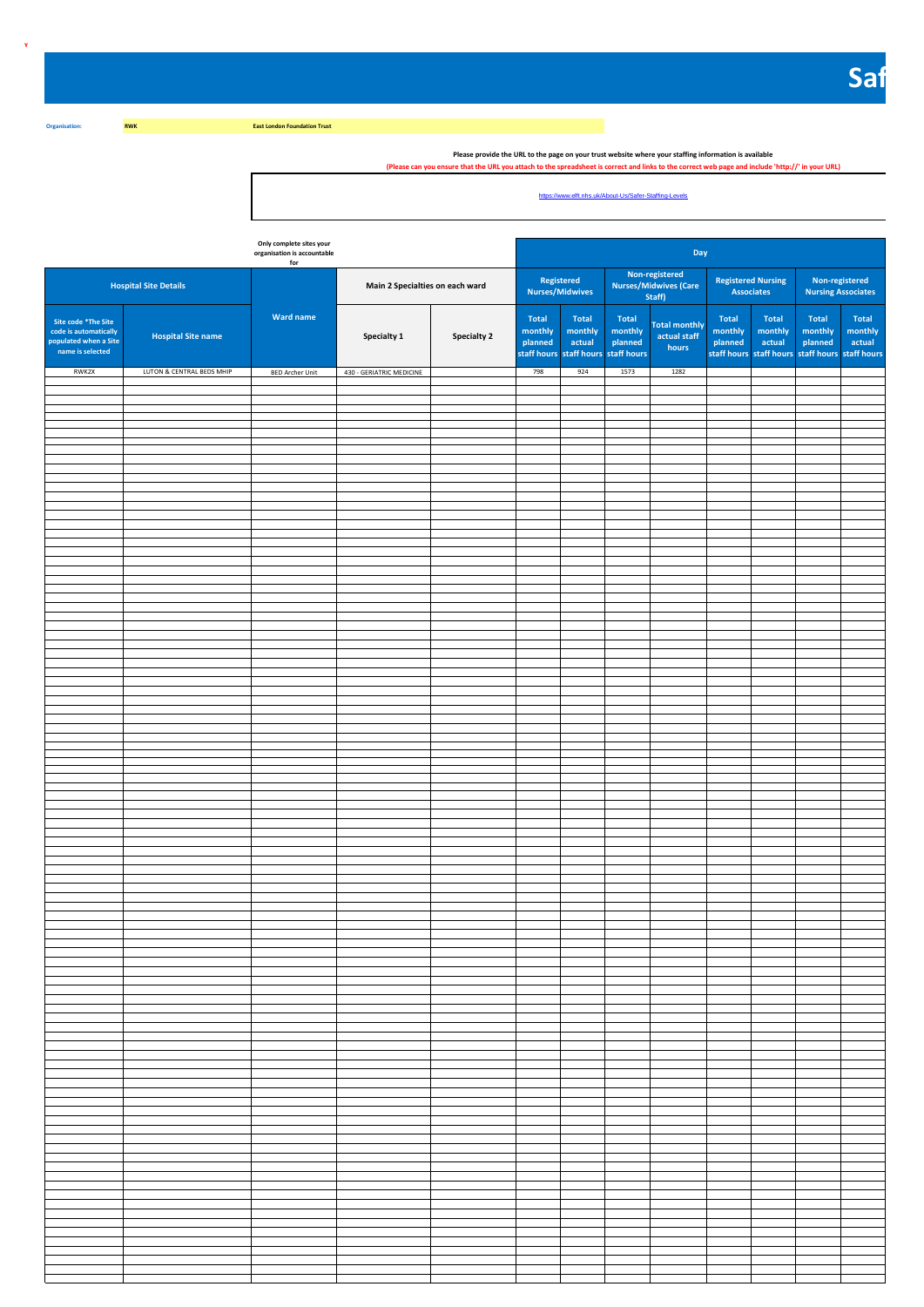**East London Foundation Trust** 

**Y**

**Organisation: RWK**

Please provide the URL to the page on your trust website where your staffing information is available "<br>(Please can you ensure that the URL you attach to the spreadsheet is correct and links to the correct web page and inc

https://www.elft.nhs.uk/About-Us/Safer-Staffing-Levels

|                                                                                           |                              | Only complete sites your<br>organisation is accountable<br>for |                                 |                    |                                                   |                                                              |                                    | Day                                               |                                                                                       |                            |                                             |                            |
|-------------------------------------------------------------------------------------------|------------------------------|----------------------------------------------------------------|---------------------------------|--------------------|---------------------------------------------------|--------------------------------------------------------------|------------------------------------|---------------------------------------------------|---------------------------------------------------------------------------------------|----------------------------|---------------------------------------------|----------------------------|
|                                                                                           | <b>Hospital Site Details</b> |                                                                | Main 2 Specialties on each ward |                    | Nurses/Midwives                                   | Registered                                                   |                                    | Non-registered<br>Nurses/Midwives (Care<br>Staff) | <b>Registered Nursing</b><br><b>Associates</b>                                        |                            | Non-registered<br><b>Nursing Associates</b> |                            |
| Site code *The Site<br>code is automatically<br>populated when a Site<br>name is selected | <b>Hospital Site name</b>    | <b>Ward name</b>                                               | Specialty 1                     | <b>Specialty 2</b> | <b>Total</b><br>monthly<br>planned<br>staff hours | <b>Total</b><br>monthly<br>actual<br>staff hours staff hours | <b>Total</b><br>monthly<br>planned | <b>Total monthly</b><br>actual staff<br>hours     | <b>Total</b><br>monthly<br>planned<br>staff hours staff hours staff hours staff hours | Total<br>monthly<br>actual | Total<br>monthly<br>planned                 | Total<br>monthly<br>actual |
| RWK2X                                                                                     | LUTON & CENTRAL BEDS MHIP    | <b>BED Archer Unit</b>                                         | 430 - GERIATRIC MEDICINE        |                    | 798                                               | 924                                                          | 1573                               | 1282                                              |                                                                                       |                            |                                             |                            |
|                                                                                           |                              |                                                                |                                 |                    |                                                   |                                                              |                                    |                                                   |                                                                                       |                            |                                             |                            |
|                                                                                           |                              |                                                                |                                 |                    |                                                   |                                                              |                                    |                                                   |                                                                                       |                            |                                             |                            |
|                                                                                           |                              |                                                                |                                 |                    |                                                   |                                                              |                                    |                                                   |                                                                                       |                            |                                             |                            |
|                                                                                           |                              |                                                                |                                 |                    |                                                   |                                                              |                                    |                                                   |                                                                                       |                            |                                             |                            |
|                                                                                           |                              |                                                                |                                 |                    |                                                   |                                                              |                                    |                                                   |                                                                                       |                            |                                             |                            |
|                                                                                           |                              |                                                                |                                 |                    |                                                   |                                                              |                                    |                                                   |                                                                                       |                            |                                             |                            |
|                                                                                           |                              |                                                                |                                 |                    |                                                   |                                                              |                                    |                                                   |                                                                                       |                            |                                             |                            |
|                                                                                           |                              |                                                                |                                 |                    |                                                   |                                                              |                                    |                                                   |                                                                                       |                            |                                             |                            |
|                                                                                           |                              |                                                                |                                 |                    |                                                   |                                                              |                                    |                                                   |                                                                                       |                            |                                             |                            |
|                                                                                           |                              |                                                                |                                 |                    |                                                   |                                                              |                                    |                                                   |                                                                                       |                            |                                             |                            |
|                                                                                           |                              |                                                                |                                 |                    |                                                   |                                                              |                                    |                                                   |                                                                                       |                            |                                             |                            |
|                                                                                           |                              |                                                                |                                 |                    |                                                   |                                                              |                                    |                                                   |                                                                                       |                            |                                             |                            |
|                                                                                           |                              |                                                                |                                 |                    |                                                   |                                                              |                                    |                                                   |                                                                                       |                            |                                             |                            |
|                                                                                           |                              |                                                                |                                 |                    |                                                   |                                                              |                                    |                                                   |                                                                                       |                            |                                             |                            |
|                                                                                           |                              |                                                                |                                 |                    |                                                   |                                                              |                                    |                                                   |                                                                                       |                            |                                             |                            |
|                                                                                           |                              |                                                                |                                 |                    |                                                   |                                                              |                                    |                                                   |                                                                                       |                            |                                             |                            |
|                                                                                           |                              |                                                                |                                 |                    |                                                   |                                                              |                                    |                                                   |                                                                                       |                            |                                             |                            |
|                                                                                           |                              |                                                                |                                 |                    |                                                   |                                                              |                                    |                                                   |                                                                                       |                            |                                             |                            |
|                                                                                           |                              |                                                                |                                 |                    |                                                   |                                                              |                                    |                                                   |                                                                                       |                            |                                             |                            |
|                                                                                           |                              |                                                                |                                 |                    |                                                   |                                                              |                                    |                                                   |                                                                                       |                            |                                             |                            |
|                                                                                           |                              |                                                                |                                 |                    |                                                   |                                                              |                                    |                                                   |                                                                                       |                            |                                             |                            |
|                                                                                           |                              |                                                                |                                 |                    |                                                   |                                                              |                                    |                                                   |                                                                                       |                            |                                             |                            |
|                                                                                           |                              |                                                                |                                 |                    |                                                   |                                                              |                                    |                                                   |                                                                                       |                            |                                             |                            |
|                                                                                           |                              |                                                                |                                 |                    |                                                   |                                                              |                                    |                                                   |                                                                                       |                            |                                             |                            |
|                                                                                           |                              |                                                                |                                 |                    |                                                   |                                                              |                                    |                                                   |                                                                                       |                            |                                             |                            |
|                                                                                           |                              |                                                                |                                 |                    |                                                   |                                                              |                                    |                                                   |                                                                                       |                            |                                             |                            |
|                                                                                           |                              |                                                                |                                 |                    |                                                   |                                                              |                                    |                                                   |                                                                                       |                            |                                             |                            |
|                                                                                           |                              |                                                                |                                 |                    |                                                   |                                                              |                                    |                                                   |                                                                                       |                            |                                             |                            |
|                                                                                           |                              |                                                                |                                 |                    |                                                   |                                                              |                                    |                                                   |                                                                                       |                            |                                             |                            |
|                                                                                           |                              |                                                                |                                 |                    |                                                   |                                                              |                                    |                                                   |                                                                                       |                            |                                             |                            |
|                                                                                           |                              |                                                                |                                 |                    |                                                   |                                                              |                                    |                                                   |                                                                                       |                            |                                             |                            |
|                                                                                           |                              |                                                                |                                 |                    |                                                   |                                                              |                                    |                                                   |                                                                                       |                            |                                             |                            |
|                                                                                           |                              |                                                                |                                 |                    |                                                   |                                                              |                                    |                                                   |                                                                                       |                            |                                             |                            |
|                                                                                           |                              |                                                                |                                 |                    |                                                   |                                                              |                                    |                                                   |                                                                                       |                            |                                             |                            |
|                                                                                           |                              |                                                                |                                 |                    |                                                   |                                                              |                                    |                                                   |                                                                                       |                            |                                             |                            |
|                                                                                           |                              |                                                                |                                 |                    |                                                   |                                                              |                                    |                                                   |                                                                                       |                            |                                             |                            |
|                                                                                           |                              |                                                                |                                 |                    |                                                   |                                                              |                                    |                                                   |                                                                                       |                            |                                             |                            |
|                                                                                           |                              |                                                                |                                 |                    |                                                   |                                                              |                                    |                                                   |                                                                                       |                            |                                             |                            |
|                                                                                           |                              |                                                                |                                 |                    |                                                   |                                                              |                                    |                                                   |                                                                                       |                            |                                             |                            |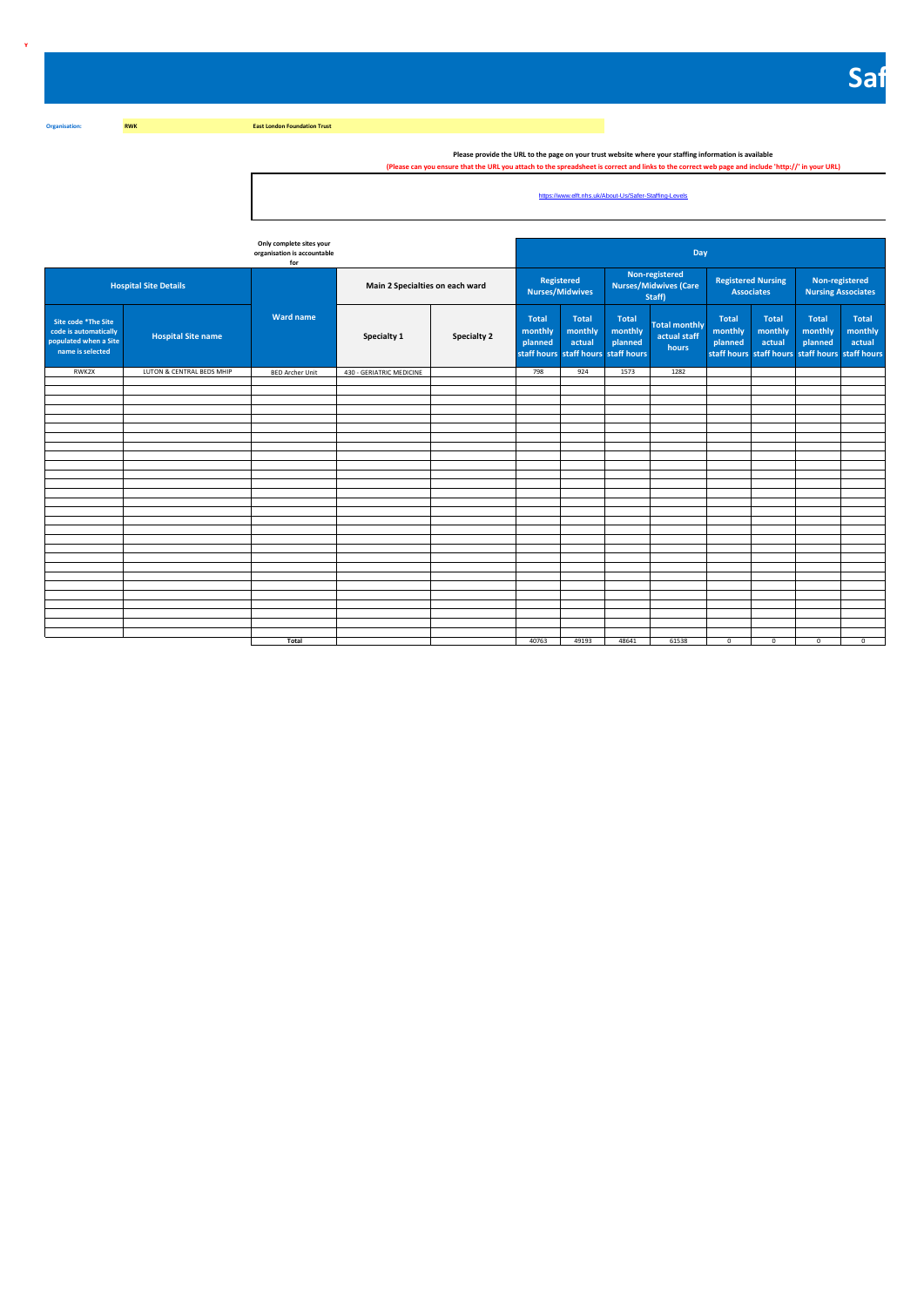**East London Foundation Trust** 

**Y**

**Organisation: RWK**

Please provide the URL to the page on your trust website where your staffing information is available "<br>(Please can you ensure that the URL you attach to the spreadsheet is correct and links to the correct web page and inc

https://www.elft.nhs.uk/About-Us/Safer-Staffing-Levels

|                                                                                           |                              | Only complete sites your<br>organisation is accountable<br>for |                                 |                    |                                                                           |                                   |                                    | Day                                                      |                                                                                       |                                   |                                             |                                   |
|-------------------------------------------------------------------------------------------|------------------------------|----------------------------------------------------------------|---------------------------------|--------------------|---------------------------------------------------------------------------|-----------------------------------|------------------------------------|----------------------------------------------------------|---------------------------------------------------------------------------------------|-----------------------------------|---------------------------------------------|-----------------------------------|
|                                                                                           | <b>Hospital Site Details</b> |                                                                | Main 2 Specialties on each ward |                    | Registered                                                                | <b>Nurses/Midwives</b>            |                                    | Non-registered<br><b>Nurses/Midwives (Care</b><br>Staff) | <b>Registered Nursing</b><br><b>Associates</b>                                        |                                   | Non-registered<br><b>Nursing Associates</b> |                                   |
| Site code *The Site<br>code is automatically<br>populated when a Site<br>name is selected | <b>Hospital Site name</b>    | <b>Ward name</b>                                               | Specialty 1                     | <b>Specialty 2</b> | <b>Total</b><br>monthly<br>planned<br>staff hours staff hours staff hours | <b>Total</b><br>monthly<br>actual | <b>Total</b><br>monthly<br>planned | <b>Total monthly</b><br>actual staff<br>hours            | <b>Total</b><br>monthly<br>planned<br>staff hours staff hours staff hours staff hours | <b>Total</b><br>monthly<br>actual | <b>Total</b><br>monthly<br>planned          | <b>Total</b><br>monthly<br>actual |
| RWK2X                                                                                     | LUTON & CENTRAL BEDS MHIP    | <b>BED Archer Unit</b>                                         | 430 - GERIATRIC MEDICINE        |                    | 798                                                                       | 924                               | 1573                               | 1282                                                     |                                                                                       |                                   |                                             |                                   |
|                                                                                           |                              |                                                                |                                 |                    |                                                                           |                                   |                                    |                                                          |                                                                                       |                                   |                                             |                                   |
|                                                                                           |                              |                                                                |                                 |                    |                                                                           |                                   |                                    |                                                          |                                                                                       |                                   |                                             |                                   |
|                                                                                           |                              |                                                                |                                 |                    |                                                                           |                                   |                                    |                                                          |                                                                                       |                                   |                                             |                                   |
|                                                                                           |                              |                                                                |                                 |                    |                                                                           |                                   |                                    |                                                          |                                                                                       |                                   |                                             |                                   |
|                                                                                           |                              |                                                                |                                 |                    |                                                                           |                                   |                                    |                                                          |                                                                                       |                                   |                                             |                                   |
|                                                                                           |                              |                                                                |                                 |                    |                                                                           |                                   |                                    |                                                          |                                                                                       |                                   |                                             |                                   |
|                                                                                           |                              |                                                                |                                 |                    |                                                                           |                                   |                                    |                                                          |                                                                                       |                                   |                                             |                                   |
|                                                                                           |                              |                                                                |                                 |                    |                                                                           |                                   |                                    |                                                          |                                                                                       |                                   |                                             |                                   |
|                                                                                           |                              |                                                                |                                 |                    |                                                                           |                                   |                                    |                                                          |                                                                                       |                                   |                                             |                                   |
|                                                                                           |                              |                                                                |                                 |                    |                                                                           |                                   |                                    |                                                          |                                                                                       |                                   |                                             |                                   |
|                                                                                           |                              |                                                                |                                 |                    |                                                                           |                                   |                                    |                                                          |                                                                                       |                                   |                                             |                                   |
|                                                                                           |                              |                                                                |                                 |                    |                                                                           |                                   |                                    |                                                          |                                                                                       |                                   |                                             |                                   |
|                                                                                           |                              |                                                                |                                 |                    |                                                                           |                                   |                                    |                                                          |                                                                                       |                                   |                                             |                                   |
|                                                                                           |                              |                                                                |                                 |                    |                                                                           |                                   |                                    |                                                          |                                                                                       |                                   |                                             |                                   |
|                                                                                           |                              |                                                                |                                 |                    |                                                                           |                                   |                                    |                                                          |                                                                                       |                                   |                                             |                                   |
|                                                                                           |                              |                                                                |                                 |                    |                                                                           |                                   |                                    |                                                          |                                                                                       |                                   |                                             |                                   |
|                                                                                           |                              |                                                                |                                 |                    |                                                                           |                                   |                                    |                                                          |                                                                                       |                                   |                                             |                                   |
|                                                                                           |                              |                                                                |                                 |                    |                                                                           |                                   |                                    |                                                          |                                                                                       |                                   |                                             |                                   |
|                                                                                           |                              |                                                                |                                 |                    |                                                                           |                                   |                                    |                                                          |                                                                                       |                                   |                                             |                                   |
|                                                                                           |                              |                                                                |                                 |                    |                                                                           |                                   |                                    |                                                          |                                                                                       |                                   |                                             |                                   |
|                                                                                           |                              |                                                                |                                 |                    |                                                                           |                                   |                                    |                                                          |                                                                                       |                                   |                                             |                                   |
|                                                                                           |                              |                                                                |                                 |                    |                                                                           |                                   |                                    |                                                          |                                                                                       |                                   |                                             |                                   |
|                                                                                           |                              |                                                                |                                 |                    |                                                                           |                                   |                                    |                                                          |                                                                                       |                                   |                                             |                                   |
|                                                                                           |                              |                                                                |                                 |                    |                                                                           |                                   |                                    |                                                          |                                                                                       |                                   |                                             |                                   |
|                                                                                           |                              | Total                                                          |                                 |                    | 40763                                                                     | 49193                             | 48641                              | 61538                                                    | $^{\circ}$                                                                            | $^{\circ}$                        | $^{\circ}$                                  | $^{\circ}$                        |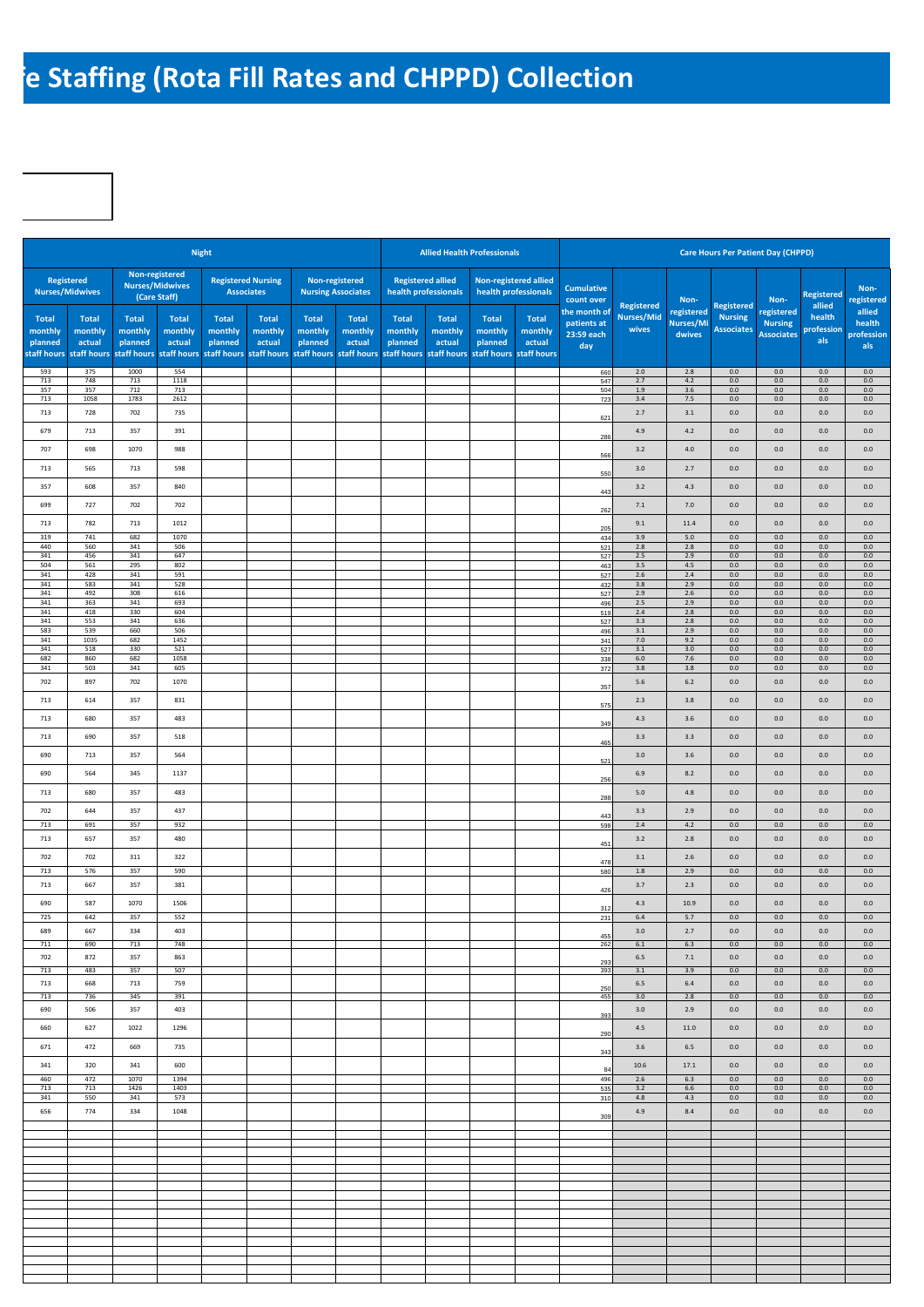## **Re Staffing (Rota Fill Rates and CHPPD) Collection**

|                                                   |                                                  |                                                   |                                                          | <b>Night</b>                               |                                                  |                             |                                                                          |                                    |                                                  | <b>Allied Health Professionals</b> |                                                              |                                                  |                            |                                   | <b>Care Hours Per Patient Day (CHPPD)</b> |                                                   |                             |                                       |
|---------------------------------------------------|--------------------------------------------------|---------------------------------------------------|----------------------------------------------------------|--------------------------------------------|--------------------------------------------------|-----------------------------|--------------------------------------------------------------------------|------------------------------------|--------------------------------------------------|------------------------------------|--------------------------------------------------------------|--------------------------------------------------|----------------------------|-----------------------------------|-------------------------------------------|---------------------------------------------------|-----------------------------|---------------------------------------|
|                                                   | <b>Registered</b><br><b>Nurses/Midwives</b>      |                                                   | Non-registered<br><b>Nurses/Midwives</b><br>(Care Staff) |                                            | <b>Registered Nursing</b><br><b>Associates</b>   |                             | Non-registered<br><b>Nursing Associates</b>                              |                                    | <b>Registered allied</b><br>health professionals |                                    | <b>Non-registered allied</b><br>health professionals         | <b>Cumulative</b><br>count over                  | <b>Registered</b>          | Non-                              | <b>Registered</b>                         | Non-                                              | <b>Registered</b><br>allied | Non-<br>registered                    |
| <b>Total</b><br>monthly<br>planned<br>staff hours | <b>Total</b><br>monthly<br>actual<br>staff hours | <b>Total</b><br>monthly<br>planned<br>staff hours | <b>Total</b><br>monthly<br>actual<br>staff hours         | Total<br>monthly<br>planned<br>staff hours | <b>Total</b><br>monthly<br>actual<br>staff hours | Total<br>monthly<br>planned | <b>Total</b><br>monthly<br>actual<br>staff hours staff hours staff hours | <b>Total</b><br>monthly<br>planned | <b>Total</b><br>monthly<br>actual<br>staff hours | <b>Total</b><br>monthly<br>planned | <b>Total</b><br>monthly<br>actual<br>staff hours staff hours | the month of<br>patients at<br>23:59 each<br>day | <b>Nurses/Mid</b><br>wives | registered<br>Nurses/Mi<br>dwives | <b>Nursing</b><br><b>Associates</b>       | registered<br><b>Nursing</b><br><b>Associates</b> | health<br>profession<br>als | allied<br>health<br>profession<br>als |
| 593<br>713                                        | 375<br>748                                       | 1000<br>713                                       | 554<br>1118                                              |                                            |                                                  |                             |                                                                          |                                    |                                                  |                                    |                                                              | 660                                              | $2.0$<br>2.7               | $2.8$<br>4.2                      | $0.0\,$<br>0.0                            | $0.0\,$<br>0.0                                    | 0.0<br>0.0                  | 0.0<br>0.0                            |
| 357                                               | 357                                              | 712                                               | 713                                                      |                                            |                                                  |                             |                                                                          |                                    |                                                  |                                    |                                                              | 547<br>504                                       | 1.9                        | 3.6                               | 0.0                                       | 0.0                                               | 0.0                         | 0.0                                   |
| 713                                               | 1058                                             | 1783                                              | 2612                                                     |                                            |                                                  |                             |                                                                          |                                    |                                                  |                                    |                                                              | 723                                              | 3.4                        | 7.5                               | 0.0                                       | $0.0\,$                                           | 0.0                         | 0.0                                   |
| 713                                               | 728                                              | 702                                               | 735                                                      |                                            |                                                  |                             |                                                                          |                                    |                                                  |                                    |                                                              | 621                                              | 2.7                        | 3.1                               | 0.0                                       | $0.0\,$                                           | $0.0\,$                     | 0.0                                   |
| 679                                               | 713                                              | 357                                               | 391                                                      |                                            |                                                  |                             |                                                                          |                                    |                                                  |                                    |                                                              | 286                                              | 4.9                        | 4.2                               | 0.0                                       | $0.0\,$                                           | 0.0                         | 0.0                                   |
| 707                                               | 698                                              | 1070                                              | 988                                                      |                                            |                                                  |                             |                                                                          |                                    |                                                  |                                    |                                                              | 566                                              | 3.2                        | $4.0$                             | 0.0                                       | $0.0\,$                                           | 0.0                         | 0.0                                   |
| 713                                               | 565                                              | 713                                               | 598                                                      |                                            |                                                  |                             |                                                                          |                                    |                                                  |                                    |                                                              |                                                  | 3.0                        | 2.7                               | 0.0                                       | $0.0\,$                                           | 0.0                         | 0.0                                   |
|                                                   |                                                  |                                                   |                                                          |                                            |                                                  |                             |                                                                          |                                    |                                                  |                                    |                                                              | 550                                              |                            |                                   |                                           |                                                   |                             |                                       |
| 357                                               | 608                                              | 357                                               | 840                                                      |                                            |                                                  |                             |                                                                          |                                    |                                                  |                                    |                                                              | 443                                              | $3.2\,$                    | 4.3                               | 0.0                                       | $0.0\,$                                           | 0.0                         | 0.0                                   |
| 699                                               | 727                                              | 702                                               | 702                                                      |                                            |                                                  |                             |                                                                          |                                    |                                                  |                                    |                                                              | 262                                              | 7.1                        | 7.0                               | 0.0                                       | $0.0\,$                                           | 0.0                         | 0.0                                   |
| 713                                               | 782                                              | 713                                               | 1012                                                     |                                            |                                                  |                             |                                                                          |                                    |                                                  |                                    |                                                              | 205                                              | 9.1                        | 11.4                              | 0.0                                       | $0.0\,$                                           | 0.0                         | 0.0                                   |
| 319<br>440                                        | 741                                              | 682                                               | 1070                                                     |                                            |                                                  |                             |                                                                          |                                    |                                                  |                                    |                                                              | 434                                              | 3.9                        | 5.0                               | 0.0                                       | 0.0<br>0.0                                        | 0.0                         | 0.0                                   |
| 341                                               | 560<br>456                                       | 341<br>341                                        | 506<br>647                                               |                                            |                                                  |                             |                                                                          |                                    |                                                  |                                    |                                                              | 521<br>527                                       | $2.8$<br>$2.5\,$           | 2.8<br>2.9                        | 0.0<br>0.0                                | 0.0                                               | 0.0<br>0.0                  | 0.0<br>0.0                            |
| 504<br>341                                        | 561<br>428                                       | 295<br>341                                        | 802<br>591                                               |                                            |                                                  |                             |                                                                          |                                    |                                                  |                                    |                                                              | 463                                              | 3.5<br>$2.6\,$             | 4.5<br>$2.4\,$                    | 0.0<br>0.0                                | 0.0<br>0.0                                        | 0.0<br>$0.0\,$              | 0.0<br>0.0                            |
| 341                                               | 583                                              | 341                                               | 528                                                      |                                            |                                                  |                             |                                                                          |                                    |                                                  |                                    |                                                              | 527<br>432                                       | $3.8\,$                    | 2.9                               | 0.0                                       | 0.0                                               | 0.0                         | 0.0                                   |
| 341<br>341                                        | 492<br>363                                       | 308<br>341                                        | 616<br>693                                               |                                            |                                                  |                             |                                                                          |                                    |                                                  |                                    |                                                              | 527<br>496                                       | 2.9<br>$2.5\,$             | $2.6\,$<br>2.9                    | 0.0<br>0.0                                | 0.0<br>0.0                                        | $0.0\,$<br>0.0              | 0.0<br>0.0                            |
| 341                                               | 418                                              | 330                                               | 604                                                      |                                            |                                                  |                             |                                                                          |                                    |                                                  |                                    |                                                              | 519                                              | $2.4\,$                    | $2.8\,$                           | 0.0                                       | 0.0                                               | 0.0                         | 0.0                                   |
| 341<br>583                                        | 553<br>539                                       | 341<br>660                                        | 636<br>506                                               |                                            |                                                  |                             |                                                                          |                                    |                                                  |                                    |                                                              | 527<br>496                                       | $3.3\,$<br>$3.1\,$         | $2.8\,$<br>2.9                    | 0.0<br>0.0                                | 0.0<br>0.0                                        | $0.0\,$<br>0.0              | 0.0<br>0.0                            |
| 341<br>341                                        | 1035<br>518                                      | 682<br>330                                        | 1452<br>521                                              |                                            |                                                  |                             |                                                                          |                                    |                                                  |                                    |                                                              | 341<br>527                                       | $7.0$<br>$3.1\,$           | 9.2<br>$3.0\,$                    | 0.0<br>0.0                                | 0.0<br>0.0                                        | $0.0\,$<br>0.0              | 0.0<br>0.0                            |
| 682                                               | 860                                              | 682                                               | 1058                                                     |                                            |                                                  |                             |                                                                          |                                    |                                                  |                                    |                                                              | 338                                              | 6.0                        | 7.6                               | 0.0                                       | 0.0                                               | 0.0                         | 0.0                                   |
| 341<br>702                                        | 503<br>897                                       | 341<br>702                                        | 605<br>1070                                              |                                            |                                                  |                             |                                                                          |                                    |                                                  |                                    |                                                              | 372                                              | 3.8                        | 3.8                               | 0.0<br>0.0                                | $0.0\,$                                           | $0.0\,$<br>0.0              | 0.0<br>0.0                            |
|                                                   |                                                  |                                                   |                                                          |                                            |                                                  |                             |                                                                          |                                    |                                                  |                                    |                                                              | 357                                              | 5.6                        | 6.2                               |                                           | 0.0                                               |                             |                                       |
| 713                                               | 614                                              | 357                                               | 831                                                      |                                            |                                                  |                             |                                                                          |                                    |                                                  |                                    |                                                              | 575                                              | $2.3$                      | 3.8                               | 0.0                                       | $0.0\,$                                           | 0.0                         | 0.0                                   |
| 713                                               | 680                                              | 357                                               | 483                                                      |                                            |                                                  |                             |                                                                          |                                    |                                                  |                                    |                                                              | 349                                              | 4.3                        | 3.6                               | 0.0                                       | $0.0\,$                                           | 0.0                         | 0.0                                   |
| 713                                               | 690                                              | 357                                               | 518                                                      |                                            |                                                  |                             |                                                                          |                                    |                                                  |                                    |                                                              | 465                                              | 3.3                        | 3.3                               | 0.0                                       | $0.0\,$                                           | 0.0                         | 0.0                                   |
| 690                                               | 713                                              | 357                                               | 564                                                      |                                            |                                                  |                             |                                                                          |                                    |                                                  |                                    |                                                              | 521                                              | 3.0                        | 3.6                               | 0.0                                       | $0.0\,$                                           | 0.0                         | 0.0                                   |
| 690                                               | 564                                              | 345                                               | 1137                                                     |                                            |                                                  |                             |                                                                          |                                    |                                                  |                                    |                                                              |                                                  | 6.9                        | 8.2                               | 0.0                                       | $0.0\,$                                           | 0.0                         | 0.0                                   |
| 713                                               | 680                                              | 357                                               | 483                                                      |                                            |                                                  |                             |                                                                          |                                    |                                                  |                                    |                                                              | 256<br>288                                       | $5.0$                      | 4.8                               | 0.0                                       | $0.0\,$                                           | 0.0                         | 0.0                                   |
| 702                                               | 644                                              | 357                                               | 437                                                      |                                            |                                                  |                             |                                                                          |                                    |                                                  |                                    |                                                              | 443                                              | 3.3                        | 2.9                               | $0.0\,$                                   | $0.0\,$                                           | 0.0                         | 0.0                                   |
| 713<br>713                                        | 691<br>657                                       | 357<br>357                                        | 932<br>480                                               |                                            |                                                  |                             |                                                                          |                                    |                                                  |                                    |                                                              | 598                                              | 2.4<br>3.2                 | 4.2<br>2.8                        | 0.0<br>0.0                                | $0.0\,$<br>$0.0\,$                                | 0.0<br>0.0                  | 0.0<br>0.0                            |
| 702                                               | 702                                              | 311                                               | 322                                                      |                                            |                                                  |                             |                                                                          |                                    |                                                  |                                    |                                                              | 451                                              | $3.1\,$                    | 2.6                               | 0.0                                       | $0.0\,$                                           | 0.0                         | 0.0                                   |
| 713                                               | 576                                              | 357                                               | 590                                                      |                                            |                                                  |                             |                                                                          |                                    |                                                  |                                    |                                                              | 478<br>580                                       | $1.8\,$                    | 2.9                               | 0.0                                       | $0.0\,$                                           | 0.0                         | 0.0                                   |
| 713                                               | 667                                              | 357                                               | 381                                                      |                                            |                                                  |                             |                                                                          |                                    |                                                  |                                    |                                                              | 426                                              | 3.7                        | 2.3                               | 0.0                                       | $0.0\,$                                           | 0.0                         | 0.0                                   |
| 690                                               | 587                                              | 1070                                              | 1506                                                     |                                            |                                                  |                             |                                                                          |                                    |                                                  |                                    |                                                              | 312                                              | 4.3                        | 10.9                              | 0.0                                       | $0.0\,$                                           | 0.0                         | 0.0                                   |
| 725                                               | 642                                              | 357                                               | 552                                                      |                                            |                                                  |                             |                                                                          |                                    |                                                  |                                    |                                                              | 231                                              | 6.4                        | 5.7                               | 0.0                                       | $0.0\,$                                           | $0.0\,$                     | 0.0                                   |
| 689                                               | 667                                              | 334                                               | 403                                                      |                                            |                                                  |                             |                                                                          |                                    |                                                  |                                    |                                                              | 455                                              | 3.0                        | 2.7                               | 0.0                                       | $0.0\,$                                           | $0.0\,$                     | $0.0\,$                               |
| 711<br>702                                        | 690<br>872                                       | 713<br>357                                        | 748<br>863                                               |                                            |                                                  |                             |                                                                          |                                    |                                                  |                                    |                                                              | 262                                              | 6.1<br>6.5                 | 6.3<br>7.1                        | 0.0<br>0.0                                | 0.0<br>0.0                                        | 0.0<br>0.0                  | 0.0<br>0.0                            |
| 713                                               | 483                                              | 357                                               | 507                                                      |                                            |                                                  |                             |                                                                          |                                    |                                                  |                                    |                                                              | 293<br>393                                       | 3.1                        | 3.9                               | 0.0                                       | 0.0                                               | 0.0                         | 0.0                                   |
| 713                                               | 668                                              | 713                                               | 759                                                      |                                            |                                                  |                             |                                                                          |                                    |                                                  |                                    |                                                              | 250                                              | 6.5                        | $6.4\,$                           | 0.0                                       | 0.0                                               | 0.0                         | 0.0                                   |
| 713                                               | 736                                              | 345                                               | 391                                                      |                                            |                                                  |                             |                                                                          |                                    |                                                  |                                    |                                                              | 455                                              | 3.0                        | 2.8                               | 0.0                                       | 0.0                                               | 0.0                         | 0.0                                   |
| 690                                               | 506                                              | 357                                               | 403                                                      |                                            |                                                  |                             |                                                                          |                                    |                                                  |                                    |                                                              | 393                                              | 3.0                        | 2.9                               | 0.0                                       | 0.0                                               | 0.0                         | 0.0                                   |
| 660                                               | 627                                              | 1022                                              | 1296                                                     |                                            |                                                  |                             |                                                                          |                                    |                                                  |                                    |                                                              | 290                                              | 4.5                        | 11.0                              | 0.0                                       | 0.0                                               | 0.0                         | 0.0                                   |
| 671                                               | 472                                              | 669                                               | 735                                                      |                                            |                                                  |                             |                                                                          |                                    |                                                  |                                    |                                                              | 343                                              | 3.6                        | $6.5$                             | 0.0                                       | 0.0                                               | 0.0                         | 0.0                                   |
| 341                                               | 320                                              | 341                                               | 600                                                      |                                            |                                                  |                             |                                                                          |                                    |                                                  |                                    |                                                              | 84                                               | 10.6                       | 17.1                              | 0.0                                       | 0.0                                               | 0.0                         | 0.0                                   |
| 460<br>713                                        | 472<br>713                                       | 1070<br>1426                                      | 1394<br>1403                                             |                                            |                                                  |                             |                                                                          |                                    |                                                  |                                    |                                                              | 496<br>535                                       | 2.6<br>3.2                 | 6.3<br>6.6                        | 0.0<br>0.0                                | 0.0<br>0.0                                        | 0.0<br>0.0                  | 0.0<br>0.0                            |
| 341                                               | 550                                              | 341                                               | 573                                                      |                                            |                                                  |                             |                                                                          |                                    |                                                  |                                    |                                                              | 310                                              | 4.8                        | 4.3                               | 0.0                                       | 0.0                                               | 0.0                         | 0.0                                   |
| 656                                               | 774                                              | 334                                               | 1048                                                     |                                            |                                                  |                             |                                                                          |                                    |                                                  |                                    |                                                              | 309                                              | 4.9                        | 8.4                               | 0.0                                       | 0.0                                               | 0.0                         | 0.0                                   |
|                                                   |                                                  |                                                   |                                                          |                                            |                                                  |                             |                                                                          |                                    |                                                  |                                    |                                                              |                                                  |                            |                                   |                                           |                                                   |                             |                                       |
|                                                   |                                                  |                                                   |                                                          |                                            |                                                  |                             |                                                                          |                                    |                                                  |                                    |                                                              |                                                  |                            |                                   |                                           |                                                   |                             |                                       |
|                                                   |                                                  |                                                   |                                                          |                                            |                                                  |                             |                                                                          |                                    |                                                  |                                    |                                                              |                                                  |                            |                                   |                                           |                                                   |                             |                                       |
|                                                   |                                                  |                                                   |                                                          |                                            |                                                  |                             |                                                                          |                                    |                                                  |                                    |                                                              |                                                  |                            |                                   |                                           |                                                   |                             |                                       |
|                                                   |                                                  |                                                   |                                                          |                                            |                                                  |                             |                                                                          |                                    |                                                  |                                    |                                                              |                                                  |                            |                                   |                                           |                                                   |                             |                                       |
|                                                   |                                                  |                                                   |                                                          |                                            |                                                  |                             |                                                                          |                                    |                                                  |                                    |                                                              |                                                  |                            |                                   |                                           |                                                   |                             |                                       |
|                                                   |                                                  |                                                   |                                                          |                                            |                                                  |                             |                                                                          |                                    |                                                  |                                    |                                                              |                                                  |                            |                                   |                                           |                                                   |                             |                                       |
|                                                   |                                                  |                                                   |                                                          |                                            |                                                  |                             |                                                                          |                                    |                                                  |                                    |                                                              |                                                  |                            |                                   |                                           |                                                   |                             |                                       |
|                                                   |                                                  |                                                   |                                                          |                                            |                                                  |                             |                                                                          |                                    |                                                  |                                    |                                                              |                                                  |                            |                                   |                                           |                                                   |                             |                                       |
|                                                   |                                                  |                                                   |                                                          |                                            |                                                  |                             |                                                                          |                                    |                                                  |                                    |                                                              |                                                  |                            |                                   |                                           |                                                   |                             |                                       |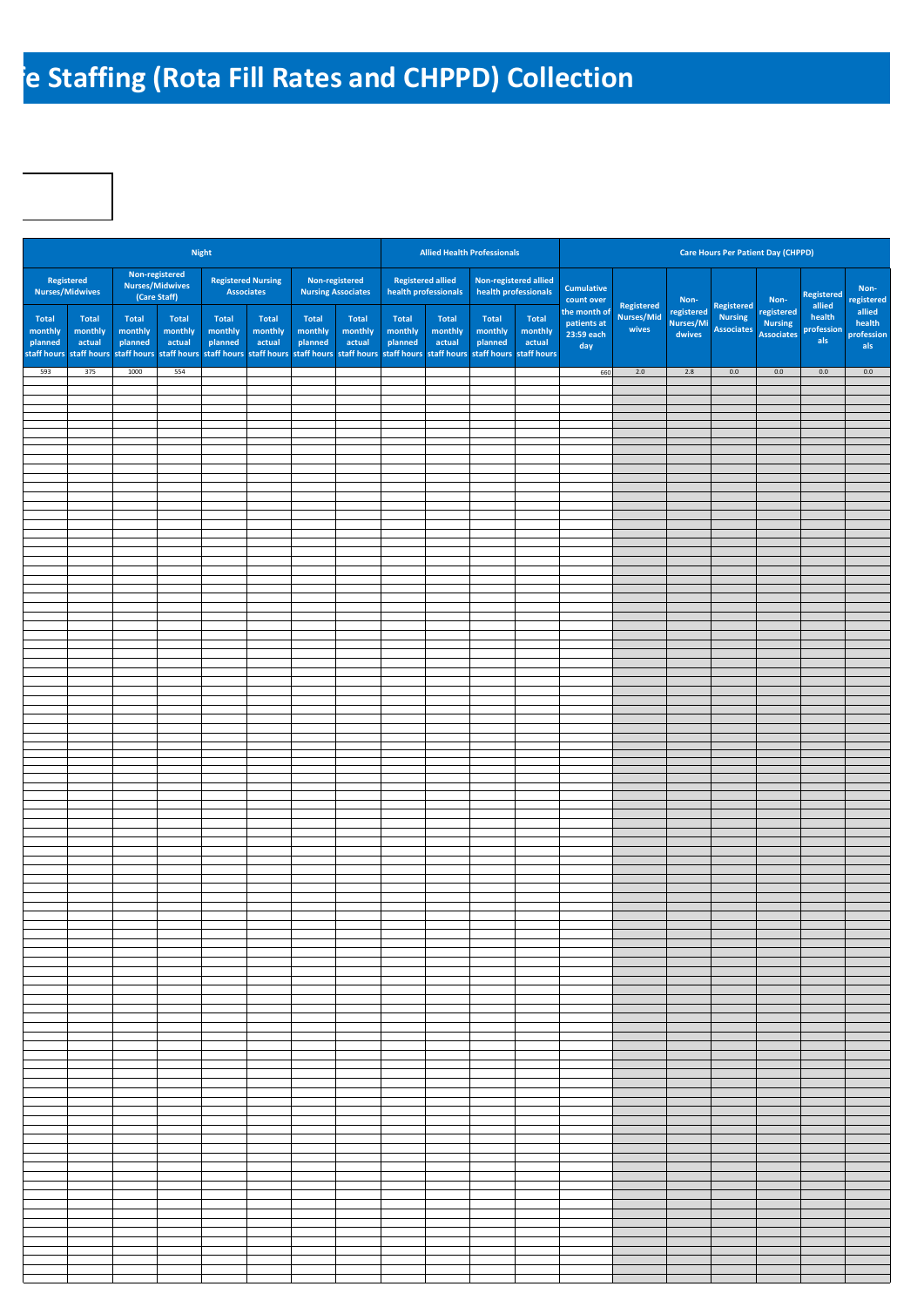## **Re Staffing (Rota Fill Rates and CHPPD) Collection**

|                                            |                                                  |                             |                                                   | <b>Night</b>                       |                                                |                             |                                             |                             | <b>Allied Health Professionals</b>                                                                                                                           |                             |                                               |                                                  |                     |                                   | <b>Care Hours Per Patient Day (CHPPD)</b> |                                                   |                             |                                       |
|--------------------------------------------|--------------------------------------------------|-----------------------------|---------------------------------------------------|------------------------------------|------------------------------------------------|-----------------------------|---------------------------------------------|-----------------------------|--------------------------------------------------------------------------------------------------------------------------------------------------------------|-----------------------------|-----------------------------------------------|--------------------------------------------------|---------------------|-----------------------------------|-------------------------------------------|---------------------------------------------------|-----------------------------|---------------------------------------|
|                                            | Registered<br><b>Nurses/Midwives</b>             |                             | Non-registered<br>Nurses/Midwives<br>(Care Staff) |                                    | <b>Registered Nursing</b><br><b>Associates</b> |                             | Non-registered<br><b>Nursing Associates</b> |                             | <b>Registered allied</b><br>health professionals                                                                                                             |                             | Non-registered allied<br>health professionals | <b>Cumulative</b><br>count over                  | Registered          | Non-                              | Registered                                | Non-                                              | Registered<br>allied        | Non-<br>registered                    |
| Total<br>monthly<br>planned<br>staff hours | <b>Total</b><br>monthly<br>actual<br>staff hours | Total<br>monthly<br>planned | <b>Total</b><br>monthly<br>actual                 | <b>Total</b><br>monthly<br>planned | Total<br>monthly<br>actual                     | Total<br>monthly<br>planned | <b>Total</b><br>monthly<br>actual           | Total<br>monthly<br>planned | <b>Total</b><br>monthly<br>actual<br>staff hours staff hours staff hours staff hours staff hours staff hours staff hours staff hours staff hours staff hours | Total<br>monthly<br>planned | <b>Total</b><br>monthly<br>actual             | the month of<br>patients at<br>23:59 each<br>day | Nurses/Mid<br>wives | registered<br>Nurses/Mi<br>dwives | <b>Nursing</b><br><b>Associates</b>       | registered<br><b>Nursing</b><br><b>Associates</b> | health<br>profession<br>als | allied<br>health<br>profession<br>als |
| 593                                        | 375                                              | 1000                        | 554                                               |                                    |                                                |                             |                                             |                             |                                                                                                                                                              |                             |                                               | 660                                              | $2.0$               | 2.8                               | 0.0                                       | 0.0                                               | 0.0                         | 0.0                                   |
|                                            |                                                  |                             |                                                   |                                    |                                                |                             |                                             |                             |                                                                                                                                                              |                             |                                               |                                                  |                     |                                   |                                           |                                                   |                             |                                       |
|                                            |                                                  |                             |                                                   |                                    |                                                |                             |                                             |                             |                                                                                                                                                              |                             |                                               |                                                  |                     |                                   |                                           |                                                   |                             |                                       |
|                                            |                                                  |                             |                                                   |                                    |                                                |                             |                                             |                             |                                                                                                                                                              |                             |                                               |                                                  |                     |                                   |                                           |                                                   |                             |                                       |
|                                            |                                                  |                             |                                                   |                                    |                                                |                             |                                             |                             |                                                                                                                                                              |                             |                                               |                                                  |                     |                                   |                                           |                                                   |                             |                                       |
|                                            |                                                  |                             |                                                   |                                    |                                                |                             |                                             |                             |                                                                                                                                                              |                             |                                               |                                                  |                     |                                   |                                           |                                                   |                             |                                       |
|                                            |                                                  |                             |                                                   |                                    |                                                |                             |                                             |                             |                                                                                                                                                              |                             |                                               |                                                  |                     |                                   |                                           |                                                   |                             |                                       |
|                                            |                                                  |                             |                                                   |                                    |                                                |                             |                                             |                             |                                                                                                                                                              |                             |                                               |                                                  |                     |                                   |                                           |                                                   |                             |                                       |
|                                            |                                                  |                             |                                                   |                                    |                                                |                             |                                             |                             |                                                                                                                                                              |                             |                                               |                                                  |                     |                                   |                                           |                                                   |                             |                                       |
|                                            |                                                  |                             |                                                   |                                    |                                                |                             |                                             |                             |                                                                                                                                                              |                             |                                               |                                                  |                     |                                   |                                           |                                                   |                             |                                       |
|                                            |                                                  |                             |                                                   |                                    |                                                |                             |                                             |                             |                                                                                                                                                              |                             |                                               |                                                  |                     |                                   |                                           |                                                   |                             |                                       |
|                                            |                                                  |                             |                                                   |                                    |                                                |                             |                                             |                             |                                                                                                                                                              |                             |                                               |                                                  |                     |                                   |                                           |                                                   |                             |                                       |
|                                            |                                                  |                             |                                                   |                                    |                                                |                             |                                             |                             |                                                                                                                                                              |                             |                                               |                                                  |                     |                                   |                                           |                                                   |                             |                                       |
|                                            |                                                  |                             |                                                   |                                    |                                                |                             |                                             |                             |                                                                                                                                                              |                             |                                               |                                                  |                     |                                   |                                           |                                                   |                             |                                       |
|                                            |                                                  |                             |                                                   |                                    |                                                |                             |                                             |                             |                                                                                                                                                              |                             |                                               |                                                  |                     |                                   |                                           |                                                   |                             |                                       |
|                                            |                                                  |                             |                                                   |                                    |                                                |                             |                                             |                             |                                                                                                                                                              |                             |                                               |                                                  |                     |                                   |                                           |                                                   |                             |                                       |
|                                            |                                                  |                             |                                                   |                                    |                                                |                             |                                             |                             |                                                                                                                                                              |                             |                                               |                                                  |                     |                                   |                                           |                                                   |                             |                                       |
|                                            |                                                  |                             |                                                   |                                    |                                                |                             |                                             |                             |                                                                                                                                                              |                             |                                               |                                                  |                     |                                   |                                           |                                                   |                             |                                       |
|                                            |                                                  |                             |                                                   |                                    |                                                |                             |                                             |                             |                                                                                                                                                              |                             |                                               |                                                  |                     |                                   |                                           |                                                   |                             |                                       |
|                                            |                                                  |                             |                                                   |                                    |                                                |                             |                                             |                             |                                                                                                                                                              |                             |                                               |                                                  |                     |                                   |                                           |                                                   |                             |                                       |
|                                            |                                                  |                             |                                                   |                                    |                                                |                             |                                             |                             |                                                                                                                                                              |                             |                                               |                                                  |                     |                                   |                                           |                                                   |                             |                                       |
|                                            |                                                  |                             |                                                   |                                    |                                                |                             |                                             |                             |                                                                                                                                                              |                             |                                               |                                                  |                     |                                   |                                           |                                                   |                             |                                       |
|                                            |                                                  |                             |                                                   |                                    |                                                |                             |                                             |                             |                                                                                                                                                              |                             |                                               |                                                  |                     |                                   |                                           |                                                   |                             |                                       |
|                                            |                                                  |                             |                                                   |                                    |                                                |                             |                                             |                             |                                                                                                                                                              |                             |                                               |                                                  |                     |                                   |                                           |                                                   |                             |                                       |
|                                            |                                                  |                             |                                                   |                                    |                                                |                             |                                             |                             |                                                                                                                                                              |                             |                                               |                                                  |                     |                                   |                                           |                                                   |                             |                                       |
|                                            |                                                  |                             |                                                   |                                    |                                                |                             |                                             |                             |                                                                                                                                                              |                             |                                               |                                                  |                     |                                   |                                           |                                                   |                             |                                       |
|                                            |                                                  |                             |                                                   |                                    |                                                |                             |                                             |                             |                                                                                                                                                              |                             |                                               |                                                  |                     |                                   |                                           |                                                   |                             |                                       |
|                                            |                                                  |                             |                                                   |                                    |                                                |                             |                                             |                             |                                                                                                                                                              |                             |                                               |                                                  |                     |                                   |                                           |                                                   |                             |                                       |
|                                            |                                                  |                             |                                                   |                                    |                                                |                             |                                             |                             |                                                                                                                                                              |                             |                                               |                                                  |                     |                                   |                                           |                                                   |                             |                                       |
|                                            |                                                  |                             |                                                   |                                    |                                                |                             |                                             |                             |                                                                                                                                                              |                             |                                               |                                                  |                     |                                   |                                           |                                                   |                             |                                       |
|                                            |                                                  |                             |                                                   |                                    |                                                |                             |                                             |                             |                                                                                                                                                              |                             |                                               |                                                  |                     |                                   |                                           |                                                   |                             |                                       |
|                                            |                                                  |                             |                                                   |                                    |                                                |                             |                                             |                             |                                                                                                                                                              |                             |                                               |                                                  |                     |                                   |                                           |                                                   |                             |                                       |
|                                            |                                                  |                             |                                                   |                                    |                                                |                             |                                             |                             |                                                                                                                                                              |                             |                                               |                                                  |                     |                                   |                                           |                                                   |                             |                                       |
|                                            |                                                  |                             |                                                   |                                    |                                                |                             |                                             |                             |                                                                                                                                                              |                             |                                               |                                                  |                     |                                   |                                           |                                                   |                             |                                       |
|                                            |                                                  |                             |                                                   |                                    |                                                |                             |                                             |                             |                                                                                                                                                              |                             |                                               |                                                  |                     |                                   |                                           |                                                   |                             |                                       |
|                                            |                                                  |                             |                                                   |                                    |                                                |                             |                                             |                             |                                                                                                                                                              |                             |                                               |                                                  |                     |                                   |                                           |                                                   |                             |                                       |
|                                            |                                                  |                             |                                                   |                                    |                                                |                             |                                             |                             |                                                                                                                                                              |                             |                                               |                                                  |                     |                                   |                                           |                                                   |                             |                                       |
|                                            |                                                  |                             |                                                   |                                    |                                                |                             |                                             |                             |                                                                                                                                                              |                             |                                               |                                                  |                     |                                   |                                           |                                                   |                             |                                       |
|                                            |                                                  |                             |                                                   |                                    |                                                |                             |                                             |                             |                                                                                                                                                              |                             |                                               |                                                  |                     |                                   |                                           |                                                   |                             |                                       |
|                                            |                                                  |                             |                                                   |                                    |                                                |                             |                                             |                             |                                                                                                                                                              |                             |                                               |                                                  |                     |                                   |                                           |                                                   |                             |                                       |
|                                            |                                                  |                             |                                                   |                                    |                                                |                             |                                             |                             |                                                                                                                                                              |                             |                                               |                                                  |                     |                                   |                                           |                                                   |                             |                                       |
|                                            |                                                  |                             |                                                   |                                    |                                                |                             |                                             |                             |                                                                                                                                                              |                             |                                               |                                                  |                     |                                   |                                           |                                                   |                             |                                       |
|                                            |                                                  |                             |                                                   |                                    |                                                |                             |                                             |                             |                                                                                                                                                              |                             |                                               |                                                  |                     |                                   |                                           |                                                   |                             |                                       |
|                                            |                                                  |                             |                                                   |                                    |                                                |                             |                                             |                             |                                                                                                                                                              |                             |                                               |                                                  |                     |                                   |                                           |                                                   |                             |                                       |
|                                            |                                                  |                             |                                                   |                                    |                                                |                             |                                             |                             |                                                                                                                                                              |                             |                                               |                                                  |                     |                                   |                                           |                                                   |                             |                                       |
|                                            |                                                  |                             |                                                   |                                    |                                                |                             |                                             |                             |                                                                                                                                                              |                             |                                               |                                                  |                     |                                   |                                           |                                                   |                             |                                       |
|                                            |                                                  |                             |                                                   |                                    |                                                |                             |                                             |                             |                                                                                                                                                              |                             |                                               |                                                  |                     |                                   |                                           |                                                   |                             |                                       |
|                                            |                                                  |                             |                                                   |                                    |                                                |                             |                                             |                             |                                                                                                                                                              |                             |                                               |                                                  |                     |                                   |                                           |                                                   |                             |                                       |
|                                            |                                                  |                             |                                                   |                                    |                                                |                             |                                             |                             |                                                                                                                                                              |                             |                                               |                                                  |                     |                                   |                                           |                                                   |                             |                                       |
|                                            |                                                  |                             |                                                   |                                    |                                                |                             |                                             |                             |                                                                                                                                                              |                             |                                               |                                                  |                     |                                   |                                           |                                                   |                             |                                       |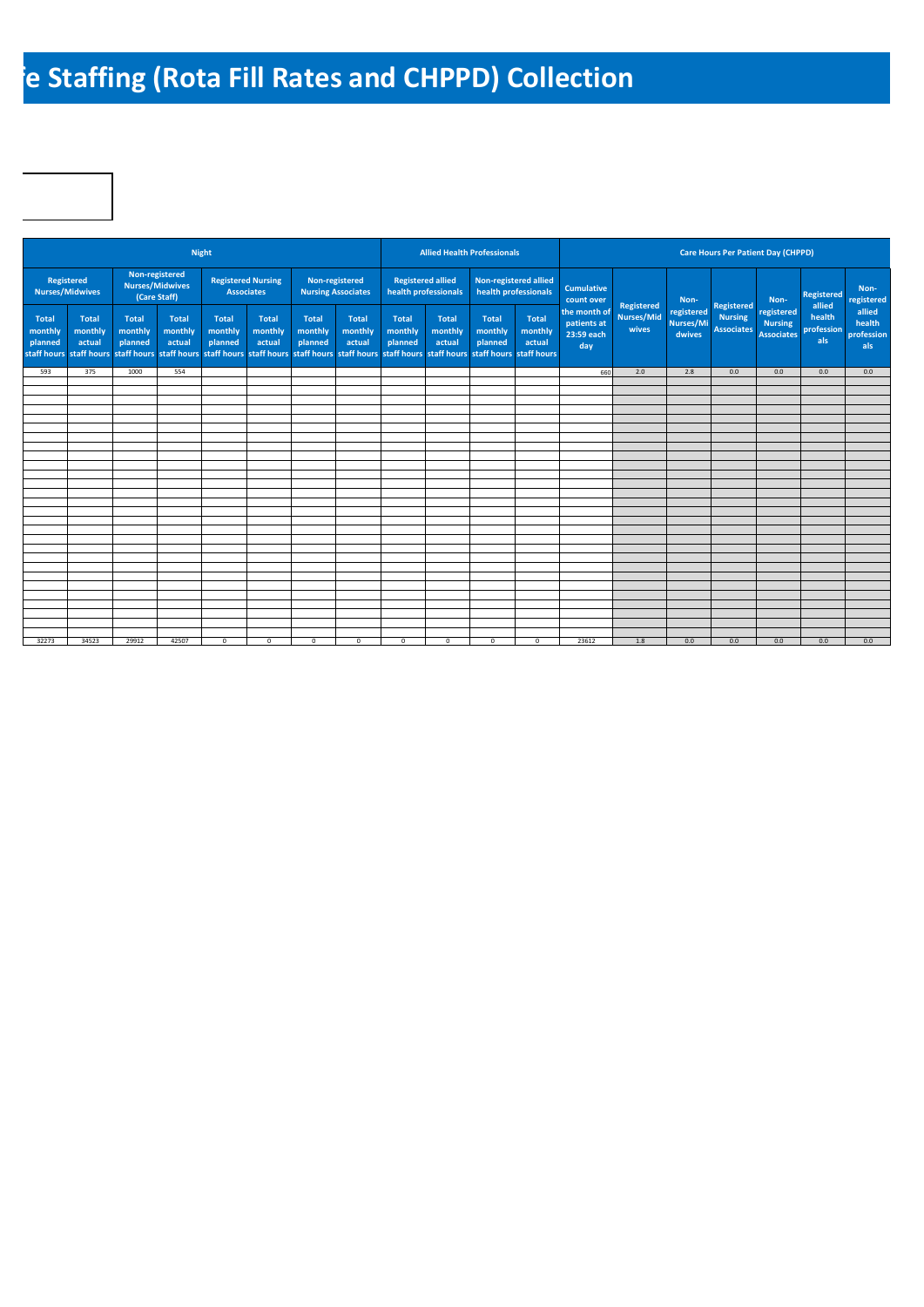## **Re Staffing (Rota Fill Rates and CHPPD) Collection**

|                                                   |                                      |                                                                                                                                                                                       |                                                          | Night                              |                                                |                                    |                                             |                                    | <b>Allied Health Professionals</b>               |                                    |                                               |                                                  |                                                 |                                   |                                                   | <b>Care Hours Per Patient Day (CHPPD)</b>         |                                       |                                       |
|---------------------------------------------------|--------------------------------------|---------------------------------------------------------------------------------------------------------------------------------------------------------------------------------------|----------------------------------------------------------|------------------------------------|------------------------------------------------|------------------------------------|---------------------------------------------|------------------------------------|--------------------------------------------------|------------------------------------|-----------------------------------------------|--------------------------------------------------|-------------------------------------------------|-----------------------------------|---------------------------------------------------|---------------------------------------------------|---------------------------------------|---------------------------------------|
|                                                   | Registered<br><b>Nurses/Midwives</b> |                                                                                                                                                                                       | Non-registered<br><b>Nurses/Midwives</b><br>(Care Staff) |                                    | <b>Registered Nursing</b><br><b>Associates</b> |                                    | Non-registered<br><b>Nursing Associates</b> |                                    | <b>Registered allied</b><br>health professionals |                                    | Non-registered allied<br>health professionals | <b>Cumulative</b><br>count over                  |                                                 | Non-                              |                                                   | Non-                                              | <b>Registered</b>                     | Non-<br>registered                    |
| <b>Total</b><br>monthly<br>planned<br>staff hours | <b>Total</b><br>monthly<br>actual    | <b>Total</b><br>monthly<br>planned<br>staff hours staff hours staff hours staff hours staff hours staff hours staff hours staff hours staff hours staff hours staff hours staff hours | <b>Total</b><br>monthly<br>actual                        | <b>Total</b><br>monthly<br>planned | <b>Total</b><br>monthly<br>actual              | <b>Total</b><br>monthly<br>planned | <b>Total</b><br>monthly<br>actual           | <b>Total</b><br>monthly<br>planned | <b>Total</b><br>monthly<br>actual                | <b>Total</b><br>monthly<br>planned | <b>Total</b><br>monthly<br>actual             | the month of<br>patients at<br>23:59 each<br>day | <b>Registered</b><br><b>Nurses/Mid</b><br>wives | registered<br>Nurses/Mi<br>dwives | Registered<br><b>Nursing</b><br><b>Associates</b> | registered<br><b>Nursing</b><br><b>Associates</b> | allied<br>health<br>profession<br>als | allied<br>health<br>profession<br>als |
| 593                                               | 375                                  | 1000                                                                                                                                                                                  | 554                                                      |                                    |                                                |                                    |                                             |                                    |                                                  |                                    |                                               | 660                                              | 2.0                                             | 2.8                               | 0.0                                               | 0.0                                               | 0.0                                   | 0.0                                   |
|                                                   |                                      |                                                                                                                                                                                       |                                                          |                                    |                                                |                                    |                                             |                                    |                                                  |                                    |                                               |                                                  |                                                 |                                   |                                                   |                                                   |                                       |                                       |
|                                                   |                                      |                                                                                                                                                                                       |                                                          |                                    |                                                |                                    |                                             |                                    |                                                  |                                    |                                               |                                                  |                                                 |                                   |                                                   |                                                   |                                       |                                       |
|                                                   |                                      |                                                                                                                                                                                       |                                                          |                                    |                                                |                                    |                                             |                                    |                                                  |                                    |                                               |                                                  |                                                 |                                   |                                                   |                                                   |                                       |                                       |
|                                                   |                                      |                                                                                                                                                                                       |                                                          |                                    |                                                |                                    |                                             |                                    |                                                  |                                    |                                               |                                                  |                                                 |                                   |                                                   |                                                   |                                       |                                       |
|                                                   |                                      |                                                                                                                                                                                       |                                                          |                                    |                                                |                                    |                                             |                                    |                                                  |                                    |                                               |                                                  |                                                 |                                   |                                                   |                                                   |                                       |                                       |
|                                                   |                                      |                                                                                                                                                                                       |                                                          |                                    |                                                |                                    |                                             |                                    |                                                  |                                    |                                               |                                                  |                                                 |                                   |                                                   |                                                   |                                       |                                       |
|                                                   |                                      |                                                                                                                                                                                       |                                                          |                                    |                                                |                                    |                                             |                                    |                                                  |                                    |                                               |                                                  |                                                 |                                   |                                                   |                                                   |                                       |                                       |
|                                                   |                                      |                                                                                                                                                                                       |                                                          |                                    |                                                |                                    |                                             |                                    |                                                  |                                    |                                               |                                                  |                                                 |                                   |                                                   |                                                   |                                       |                                       |
|                                                   |                                      |                                                                                                                                                                                       |                                                          |                                    |                                                |                                    |                                             |                                    |                                                  |                                    |                                               |                                                  |                                                 |                                   |                                                   |                                                   |                                       |                                       |
|                                                   |                                      |                                                                                                                                                                                       |                                                          |                                    |                                                |                                    |                                             |                                    |                                                  |                                    |                                               |                                                  |                                                 |                                   |                                                   |                                                   |                                       |                                       |
|                                                   |                                      |                                                                                                                                                                                       |                                                          |                                    |                                                |                                    |                                             |                                    |                                                  |                                    |                                               |                                                  |                                                 |                                   |                                                   |                                                   |                                       |                                       |
|                                                   |                                      |                                                                                                                                                                                       |                                                          |                                    |                                                |                                    |                                             |                                    |                                                  |                                    |                                               |                                                  |                                                 |                                   |                                                   |                                                   |                                       |                                       |
|                                                   |                                      |                                                                                                                                                                                       |                                                          |                                    |                                                |                                    |                                             |                                    |                                                  |                                    |                                               |                                                  |                                                 |                                   |                                                   |                                                   |                                       |                                       |
|                                                   |                                      |                                                                                                                                                                                       |                                                          |                                    |                                                |                                    |                                             |                                    |                                                  |                                    |                                               |                                                  |                                                 |                                   |                                                   |                                                   |                                       |                                       |
|                                                   |                                      |                                                                                                                                                                                       |                                                          |                                    |                                                |                                    |                                             |                                    |                                                  |                                    |                                               |                                                  |                                                 |                                   |                                                   |                                                   |                                       |                                       |
|                                                   |                                      |                                                                                                                                                                                       |                                                          |                                    |                                                |                                    |                                             |                                    |                                                  |                                    |                                               |                                                  |                                                 |                                   |                                                   |                                                   |                                       |                                       |
|                                                   |                                      |                                                                                                                                                                                       |                                                          |                                    |                                                |                                    |                                             |                                    |                                                  |                                    |                                               |                                                  |                                                 |                                   |                                                   |                                                   |                                       |                                       |
|                                                   |                                      |                                                                                                                                                                                       |                                                          |                                    |                                                |                                    |                                             |                                    |                                                  |                                    |                                               |                                                  |                                                 |                                   |                                                   |                                                   |                                       |                                       |
|                                                   |                                      |                                                                                                                                                                                       |                                                          |                                    |                                                |                                    |                                             |                                    |                                                  |                                    |                                               |                                                  |                                                 |                                   |                                                   |                                                   |                                       |                                       |
|                                                   |                                      |                                                                                                                                                                                       |                                                          |                                    |                                                |                                    |                                             |                                    |                                                  |                                    |                                               |                                                  |                                                 |                                   |                                                   |                                                   |                                       |                                       |
|                                                   |                                      |                                                                                                                                                                                       |                                                          |                                    |                                                |                                    |                                             |                                    |                                                  |                                    |                                               |                                                  |                                                 |                                   |                                                   |                                                   |                                       |                                       |
|                                                   |                                      |                                                                                                                                                                                       |                                                          |                                    |                                                |                                    |                                             |                                    |                                                  |                                    |                                               |                                                  |                                                 |                                   |                                                   |                                                   |                                       |                                       |
|                                                   |                                      |                                                                                                                                                                                       |                                                          |                                    |                                                |                                    |                                             |                                    |                                                  |                                    |                                               |                                                  |                                                 |                                   |                                                   |                                                   |                                       |                                       |
| 32273                                             | 34523                                | 29912                                                                                                                                                                                 | 42507                                                    | $^{\circ}$                         | $\mathbf 0$                                    | $\mathbf 0$                        | $^{\circ}$                                  | $\circ$                            | $^{\circ}$                                       | $^{\circ}$                         | $\mathbf{0}$                                  | 23612                                            | 1.8                                             | 0.0                               | 0.0                                               | 0.0                                               | 0.0                                   | 0.0                                   |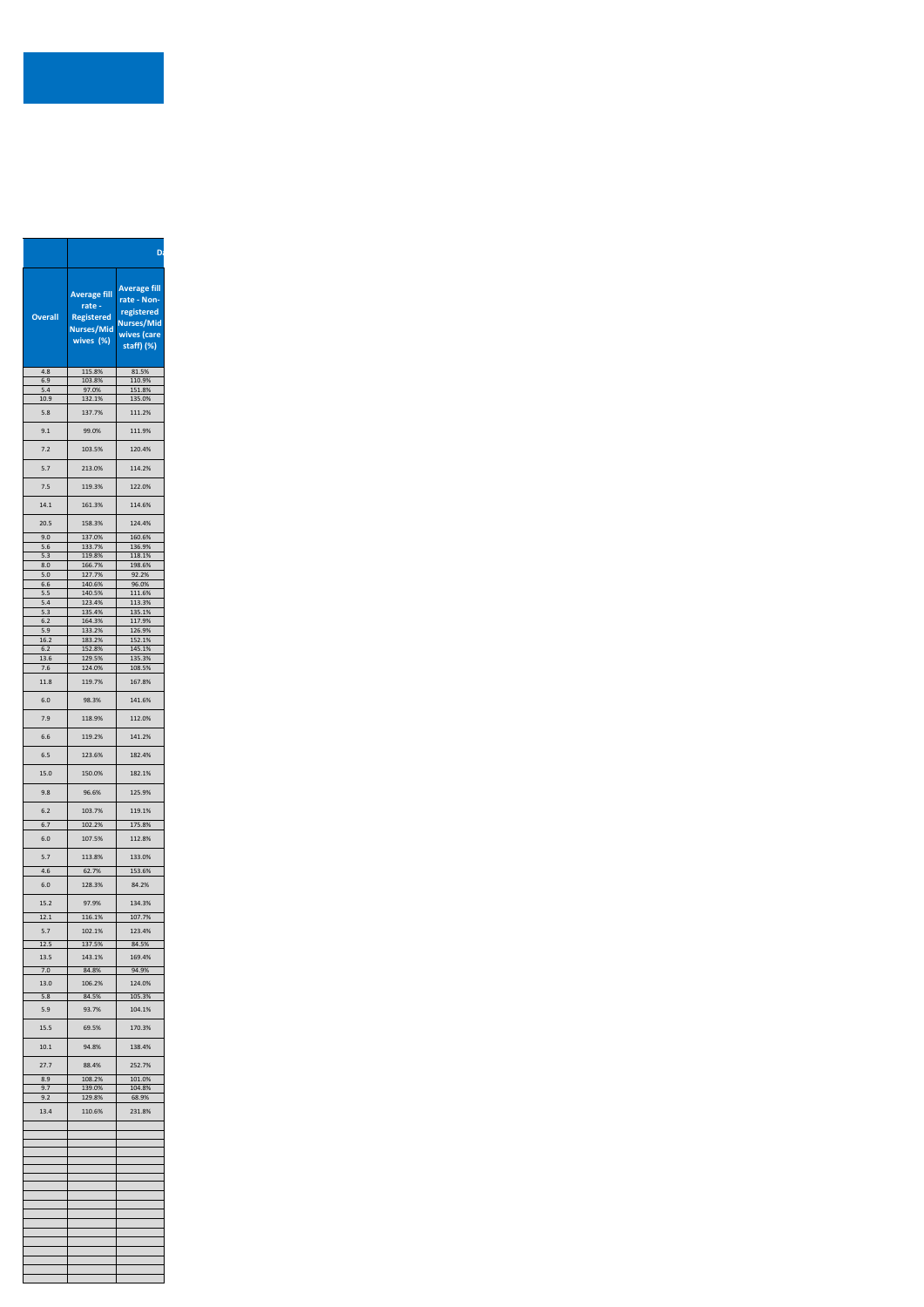| <b>Average fill</b><br>rate -<br><b>Registered</b><br><b>Nurses/Mid</b><br>wives (%)<br>4.8<br>115.8%<br>6.9<br>110.9%<br>103.8%<br>97.0%<br>5.4<br>151.8%<br>135.0%<br>10.9<br>132.1%<br>5.8<br>137.7%<br>111.2%<br>9.1<br>99.0%<br>111.9%<br>7.2<br>103.5%<br>120.4%<br>5.7<br>213.0%<br>114.2%<br>7.5<br>119.3%<br>122.0%<br>161.3%<br>158.3%<br>9.0<br>137.0%<br>160.6%<br>$5.6$<br>133.7%<br>136.9%<br>5.3<br>119.8%<br>118.1%<br>8.0<br>166.7%<br>198.6%<br>$5.0$<br>127.7%<br>92.2%<br>$6.6$<br>140.6%<br>96.0%<br>5.5<br>140.5%<br>111.6%<br>5.4<br>123.4%<br>113.3%<br>5.3<br>135.4%<br>135.1%<br>$6.2$<br>164.3%<br>117.9%<br>5.9<br>133.2%<br>126.9%<br>183.2%<br>152.1%<br>$6.2\,$<br>152.8%<br>145.1%<br>129.5%<br>135.3%<br>7.6<br>124.0%<br>11.8<br>119.7%<br>167.8%<br>$6.0\,$<br>98.3%<br>141.6%<br>7.9<br>118.9%<br>119.2%<br>6.6<br>6.5<br>123.6%<br>15.0<br>150.0%<br>182.1%<br>96.6%<br>9.8<br>103.7%<br>6.2<br>6.7<br>102.2%<br>$6.0$<br>107.5%<br>112.8%<br>5.7<br>113.8%<br>133.0%<br>4.6<br>62.7%<br>128.3%<br>84.2%<br>6.0<br>97.9%<br>12.1<br>116.1%<br>107.7%<br>5.7<br>102.1%<br>12.5<br>137.5%<br>84.5%<br>13.5<br>143.1%<br>169.4%<br>84.8%<br>106.2%<br>124.0%<br>5.8<br>84.5%<br>105.3%<br>5.9<br>93.7%<br>15.5<br>69.5%<br>10.1<br>94.8%<br>138.4%<br>27.7<br>252.7%<br>88.4%<br>8.9<br>108.2%<br>9.7<br>139.0%<br>9.2<br>129.8%<br>110.6%<br>231.8% |                                                                                                                      |
|----------------------------------------------------------------------------------------------------------------------------------------------------------------------------------------------------------------------------------------------------------------------------------------------------------------------------------------------------------------------------------------------------------------------------------------------------------------------------------------------------------------------------------------------------------------------------------------------------------------------------------------------------------------------------------------------------------------------------------------------------------------------------------------------------------------------------------------------------------------------------------------------------------------------------------------------------------------------------------------------------------------------------------------------------------------------------------------------------------------------------------------------------------------------------------------------------------------------------------------------------------------------------------------------------------------------------------------------------------------------------------------|----------------------------------------------------------------------------------------------------------------------|
|                                                                                                                                                                                                                                                                                                                                                                                                                                                                                                                                                                                                                                                                                                                                                                                                                                                                                                                                                                                                                                                                                                                                                                                                                                                                                                                                                                                        | <b>Average fill</b><br>rate - Non-<br>registered<br><b>Overall</b><br><b>Nurses/Mid</b><br>wives (care<br>staff) (%) |
|                                                                                                                                                                                                                                                                                                                                                                                                                                                                                                                                                                                                                                                                                                                                                                                                                                                                                                                                                                                                                                                                                                                                                                                                                                                                                                                                                                                        | 81.5%                                                                                                                |
|                                                                                                                                                                                                                                                                                                                                                                                                                                                                                                                                                                                                                                                                                                                                                                                                                                                                                                                                                                                                                                                                                                                                                                                                                                                                                                                                                                                        |                                                                                                                      |
|                                                                                                                                                                                                                                                                                                                                                                                                                                                                                                                                                                                                                                                                                                                                                                                                                                                                                                                                                                                                                                                                                                                                                                                                                                                                                                                                                                                        |                                                                                                                      |
|                                                                                                                                                                                                                                                                                                                                                                                                                                                                                                                                                                                                                                                                                                                                                                                                                                                                                                                                                                                                                                                                                                                                                                                                                                                                                                                                                                                        |                                                                                                                      |
|                                                                                                                                                                                                                                                                                                                                                                                                                                                                                                                                                                                                                                                                                                                                                                                                                                                                                                                                                                                                                                                                                                                                                                                                                                                                                                                                                                                        |                                                                                                                      |
|                                                                                                                                                                                                                                                                                                                                                                                                                                                                                                                                                                                                                                                                                                                                                                                                                                                                                                                                                                                                                                                                                                                                                                                                                                                                                                                                                                                        |                                                                                                                      |
|                                                                                                                                                                                                                                                                                                                                                                                                                                                                                                                                                                                                                                                                                                                                                                                                                                                                                                                                                                                                                                                                                                                                                                                                                                                                                                                                                                                        |                                                                                                                      |
|                                                                                                                                                                                                                                                                                                                                                                                                                                                                                                                                                                                                                                                                                                                                                                                                                                                                                                                                                                                                                                                                                                                                                                                                                                                                                                                                                                                        |                                                                                                                      |
|                                                                                                                                                                                                                                                                                                                                                                                                                                                                                                                                                                                                                                                                                                                                                                                                                                                                                                                                                                                                                                                                                                                                                                                                                                                                                                                                                                                        |                                                                                                                      |
|                                                                                                                                                                                                                                                                                                                                                                                                                                                                                                                                                                                                                                                                                                                                                                                                                                                                                                                                                                                                                                                                                                                                                                                                                                                                                                                                                                                        |                                                                                                                      |
|                                                                                                                                                                                                                                                                                                                                                                                                                                                                                                                                                                                                                                                                                                                                                                                                                                                                                                                                                                                                                                                                                                                                                                                                                                                                                                                                                                                        |                                                                                                                      |
|                                                                                                                                                                                                                                                                                                                                                                                                                                                                                                                                                                                                                                                                                                                                                                                                                                                                                                                                                                                                                                                                                                                                                                                                                                                                                                                                                                                        |                                                                                                                      |
|                                                                                                                                                                                                                                                                                                                                                                                                                                                                                                                                                                                                                                                                                                                                                                                                                                                                                                                                                                                                                                                                                                                                                                                                                                                                                                                                                                                        |                                                                                                                      |
|                                                                                                                                                                                                                                                                                                                                                                                                                                                                                                                                                                                                                                                                                                                                                                                                                                                                                                                                                                                                                                                                                                                                                                                                                                                                                                                                                                                        |                                                                                                                      |
|                                                                                                                                                                                                                                                                                                                                                                                                                                                                                                                                                                                                                                                                                                                                                                                                                                                                                                                                                                                                                                                                                                                                                                                                                                                                                                                                                                                        | 14.1<br>114.6%                                                                                                       |
|                                                                                                                                                                                                                                                                                                                                                                                                                                                                                                                                                                                                                                                                                                                                                                                                                                                                                                                                                                                                                                                                                                                                                                                                                                                                                                                                                                                        |                                                                                                                      |
|                                                                                                                                                                                                                                                                                                                                                                                                                                                                                                                                                                                                                                                                                                                                                                                                                                                                                                                                                                                                                                                                                                                                                                                                                                                                                                                                                                                        | 20.5<br>124.4%                                                                                                       |
|                                                                                                                                                                                                                                                                                                                                                                                                                                                                                                                                                                                                                                                                                                                                                                                                                                                                                                                                                                                                                                                                                                                                                                                                                                                                                                                                                                                        |                                                                                                                      |
|                                                                                                                                                                                                                                                                                                                                                                                                                                                                                                                                                                                                                                                                                                                                                                                                                                                                                                                                                                                                                                                                                                                                                                                                                                                                                                                                                                                        |                                                                                                                      |
|                                                                                                                                                                                                                                                                                                                                                                                                                                                                                                                                                                                                                                                                                                                                                                                                                                                                                                                                                                                                                                                                                                                                                                                                                                                                                                                                                                                        |                                                                                                                      |
|                                                                                                                                                                                                                                                                                                                                                                                                                                                                                                                                                                                                                                                                                                                                                                                                                                                                                                                                                                                                                                                                                                                                                                                                                                                                                                                                                                                        |                                                                                                                      |
|                                                                                                                                                                                                                                                                                                                                                                                                                                                                                                                                                                                                                                                                                                                                                                                                                                                                                                                                                                                                                                                                                                                                                                                                                                                                                                                                                                                        |                                                                                                                      |
|                                                                                                                                                                                                                                                                                                                                                                                                                                                                                                                                                                                                                                                                                                                                                                                                                                                                                                                                                                                                                                                                                                                                                                                                                                                                                                                                                                                        |                                                                                                                      |
|                                                                                                                                                                                                                                                                                                                                                                                                                                                                                                                                                                                                                                                                                                                                                                                                                                                                                                                                                                                                                                                                                                                                                                                                                                                                                                                                                                                        |                                                                                                                      |
|                                                                                                                                                                                                                                                                                                                                                                                                                                                                                                                                                                                                                                                                                                                                                                                                                                                                                                                                                                                                                                                                                                                                                                                                                                                                                                                                                                                        |                                                                                                                      |
|                                                                                                                                                                                                                                                                                                                                                                                                                                                                                                                                                                                                                                                                                                                                                                                                                                                                                                                                                                                                                                                                                                                                                                                                                                                                                                                                                                                        |                                                                                                                      |
|                                                                                                                                                                                                                                                                                                                                                                                                                                                                                                                                                                                                                                                                                                                                                                                                                                                                                                                                                                                                                                                                                                                                                                                                                                                                                                                                                                                        |                                                                                                                      |
|                                                                                                                                                                                                                                                                                                                                                                                                                                                                                                                                                                                                                                                                                                                                                                                                                                                                                                                                                                                                                                                                                                                                                                                                                                                                                                                                                                                        |                                                                                                                      |
|                                                                                                                                                                                                                                                                                                                                                                                                                                                                                                                                                                                                                                                                                                                                                                                                                                                                                                                                                                                                                                                                                                                                                                                                                                                                                                                                                                                        | 16.2                                                                                                                 |
|                                                                                                                                                                                                                                                                                                                                                                                                                                                                                                                                                                                                                                                                                                                                                                                                                                                                                                                                                                                                                                                                                                                                                                                                                                                                                                                                                                                        |                                                                                                                      |
|                                                                                                                                                                                                                                                                                                                                                                                                                                                                                                                                                                                                                                                                                                                                                                                                                                                                                                                                                                                                                                                                                                                                                                                                                                                                                                                                                                                        | 13.6                                                                                                                 |
|                                                                                                                                                                                                                                                                                                                                                                                                                                                                                                                                                                                                                                                                                                                                                                                                                                                                                                                                                                                                                                                                                                                                                                                                                                                                                                                                                                                        | 108.5%                                                                                                               |
|                                                                                                                                                                                                                                                                                                                                                                                                                                                                                                                                                                                                                                                                                                                                                                                                                                                                                                                                                                                                                                                                                                                                                                                                                                                                                                                                                                                        |                                                                                                                      |
|                                                                                                                                                                                                                                                                                                                                                                                                                                                                                                                                                                                                                                                                                                                                                                                                                                                                                                                                                                                                                                                                                                                                                                                                                                                                                                                                                                                        |                                                                                                                      |
|                                                                                                                                                                                                                                                                                                                                                                                                                                                                                                                                                                                                                                                                                                                                                                                                                                                                                                                                                                                                                                                                                                                                                                                                                                                                                                                                                                                        |                                                                                                                      |
|                                                                                                                                                                                                                                                                                                                                                                                                                                                                                                                                                                                                                                                                                                                                                                                                                                                                                                                                                                                                                                                                                                                                                                                                                                                                                                                                                                                        |                                                                                                                      |
|                                                                                                                                                                                                                                                                                                                                                                                                                                                                                                                                                                                                                                                                                                                                                                                                                                                                                                                                                                                                                                                                                                                                                                                                                                                                                                                                                                                        | 112.0%                                                                                                               |
|                                                                                                                                                                                                                                                                                                                                                                                                                                                                                                                                                                                                                                                                                                                                                                                                                                                                                                                                                                                                                                                                                                                                                                                                                                                                                                                                                                                        |                                                                                                                      |
|                                                                                                                                                                                                                                                                                                                                                                                                                                                                                                                                                                                                                                                                                                                                                                                                                                                                                                                                                                                                                                                                                                                                                                                                                                                                                                                                                                                        | 141.2%                                                                                                               |
|                                                                                                                                                                                                                                                                                                                                                                                                                                                                                                                                                                                                                                                                                                                                                                                                                                                                                                                                                                                                                                                                                                                                                                                                                                                                                                                                                                                        |                                                                                                                      |
|                                                                                                                                                                                                                                                                                                                                                                                                                                                                                                                                                                                                                                                                                                                                                                                                                                                                                                                                                                                                                                                                                                                                                                                                                                                                                                                                                                                        | 182.4%                                                                                                               |
|                                                                                                                                                                                                                                                                                                                                                                                                                                                                                                                                                                                                                                                                                                                                                                                                                                                                                                                                                                                                                                                                                                                                                                                                                                                                                                                                                                                        |                                                                                                                      |
|                                                                                                                                                                                                                                                                                                                                                                                                                                                                                                                                                                                                                                                                                                                                                                                                                                                                                                                                                                                                                                                                                                                                                                                                                                                                                                                                                                                        |                                                                                                                      |
|                                                                                                                                                                                                                                                                                                                                                                                                                                                                                                                                                                                                                                                                                                                                                                                                                                                                                                                                                                                                                                                                                                                                                                                                                                                                                                                                                                                        |                                                                                                                      |
|                                                                                                                                                                                                                                                                                                                                                                                                                                                                                                                                                                                                                                                                                                                                                                                                                                                                                                                                                                                                                                                                                                                                                                                                                                                                                                                                                                                        | 125.9%                                                                                                               |
|                                                                                                                                                                                                                                                                                                                                                                                                                                                                                                                                                                                                                                                                                                                                                                                                                                                                                                                                                                                                                                                                                                                                                                                                                                                                                                                                                                                        |                                                                                                                      |
|                                                                                                                                                                                                                                                                                                                                                                                                                                                                                                                                                                                                                                                                                                                                                                                                                                                                                                                                                                                                                                                                                                                                                                                                                                                                                                                                                                                        | 119.1%                                                                                                               |
|                                                                                                                                                                                                                                                                                                                                                                                                                                                                                                                                                                                                                                                                                                                                                                                                                                                                                                                                                                                                                                                                                                                                                                                                                                                                                                                                                                                        | 175.8%                                                                                                               |
|                                                                                                                                                                                                                                                                                                                                                                                                                                                                                                                                                                                                                                                                                                                                                                                                                                                                                                                                                                                                                                                                                                                                                                                                                                                                                                                                                                                        |                                                                                                                      |
|                                                                                                                                                                                                                                                                                                                                                                                                                                                                                                                                                                                                                                                                                                                                                                                                                                                                                                                                                                                                                                                                                                                                                                                                                                                                                                                                                                                        |                                                                                                                      |
|                                                                                                                                                                                                                                                                                                                                                                                                                                                                                                                                                                                                                                                                                                                                                                                                                                                                                                                                                                                                                                                                                                                                                                                                                                                                                                                                                                                        |                                                                                                                      |
|                                                                                                                                                                                                                                                                                                                                                                                                                                                                                                                                                                                                                                                                                                                                                                                                                                                                                                                                                                                                                                                                                                                                                                                                                                                                                                                                                                                        |                                                                                                                      |
|                                                                                                                                                                                                                                                                                                                                                                                                                                                                                                                                                                                                                                                                                                                                                                                                                                                                                                                                                                                                                                                                                                                                                                                                                                                                                                                                                                                        | 153.6%                                                                                                               |
|                                                                                                                                                                                                                                                                                                                                                                                                                                                                                                                                                                                                                                                                                                                                                                                                                                                                                                                                                                                                                                                                                                                                                                                                                                                                                                                                                                                        |                                                                                                                      |
|                                                                                                                                                                                                                                                                                                                                                                                                                                                                                                                                                                                                                                                                                                                                                                                                                                                                                                                                                                                                                                                                                                                                                                                                                                                                                                                                                                                        |                                                                                                                      |
|                                                                                                                                                                                                                                                                                                                                                                                                                                                                                                                                                                                                                                                                                                                                                                                                                                                                                                                                                                                                                                                                                                                                                                                                                                                                                                                                                                                        | 15.2<br>134.3%                                                                                                       |
|                                                                                                                                                                                                                                                                                                                                                                                                                                                                                                                                                                                                                                                                                                                                                                                                                                                                                                                                                                                                                                                                                                                                                                                                                                                                                                                                                                                        |                                                                                                                      |
|                                                                                                                                                                                                                                                                                                                                                                                                                                                                                                                                                                                                                                                                                                                                                                                                                                                                                                                                                                                                                                                                                                                                                                                                                                                                                                                                                                                        |                                                                                                                      |
|                                                                                                                                                                                                                                                                                                                                                                                                                                                                                                                                                                                                                                                                                                                                                                                                                                                                                                                                                                                                                                                                                                                                                                                                                                                                                                                                                                                        | 123.4%                                                                                                               |
|                                                                                                                                                                                                                                                                                                                                                                                                                                                                                                                                                                                                                                                                                                                                                                                                                                                                                                                                                                                                                                                                                                                                                                                                                                                                                                                                                                                        |                                                                                                                      |
|                                                                                                                                                                                                                                                                                                                                                                                                                                                                                                                                                                                                                                                                                                                                                                                                                                                                                                                                                                                                                                                                                                                                                                                                                                                                                                                                                                                        |                                                                                                                      |
|                                                                                                                                                                                                                                                                                                                                                                                                                                                                                                                                                                                                                                                                                                                                                                                                                                                                                                                                                                                                                                                                                                                                                                                                                                                                                                                                                                                        |                                                                                                                      |
|                                                                                                                                                                                                                                                                                                                                                                                                                                                                                                                                                                                                                                                                                                                                                                                                                                                                                                                                                                                                                                                                                                                                                                                                                                                                                                                                                                                        | 94.9%<br>7.0                                                                                                         |
|                                                                                                                                                                                                                                                                                                                                                                                                                                                                                                                                                                                                                                                                                                                                                                                                                                                                                                                                                                                                                                                                                                                                                                                                                                                                                                                                                                                        | 13.0                                                                                                                 |
|                                                                                                                                                                                                                                                                                                                                                                                                                                                                                                                                                                                                                                                                                                                                                                                                                                                                                                                                                                                                                                                                                                                                                                                                                                                                                                                                                                                        |                                                                                                                      |
|                                                                                                                                                                                                                                                                                                                                                                                                                                                                                                                                                                                                                                                                                                                                                                                                                                                                                                                                                                                                                                                                                                                                                                                                                                                                                                                                                                                        |                                                                                                                      |
|                                                                                                                                                                                                                                                                                                                                                                                                                                                                                                                                                                                                                                                                                                                                                                                                                                                                                                                                                                                                                                                                                                                                                                                                                                                                                                                                                                                        | 104.1%                                                                                                               |
|                                                                                                                                                                                                                                                                                                                                                                                                                                                                                                                                                                                                                                                                                                                                                                                                                                                                                                                                                                                                                                                                                                                                                                                                                                                                                                                                                                                        |                                                                                                                      |
|                                                                                                                                                                                                                                                                                                                                                                                                                                                                                                                                                                                                                                                                                                                                                                                                                                                                                                                                                                                                                                                                                                                                                                                                                                                                                                                                                                                        | 170.3%                                                                                                               |
|                                                                                                                                                                                                                                                                                                                                                                                                                                                                                                                                                                                                                                                                                                                                                                                                                                                                                                                                                                                                                                                                                                                                                                                                                                                                                                                                                                                        |                                                                                                                      |
|                                                                                                                                                                                                                                                                                                                                                                                                                                                                                                                                                                                                                                                                                                                                                                                                                                                                                                                                                                                                                                                                                                                                                                                                                                                                                                                                                                                        |                                                                                                                      |
|                                                                                                                                                                                                                                                                                                                                                                                                                                                                                                                                                                                                                                                                                                                                                                                                                                                                                                                                                                                                                                                                                                                                                                                                                                                                                                                                                                                        |                                                                                                                      |
|                                                                                                                                                                                                                                                                                                                                                                                                                                                                                                                                                                                                                                                                                                                                                                                                                                                                                                                                                                                                                                                                                                                                                                                                                                                                                                                                                                                        |                                                                                                                      |
|                                                                                                                                                                                                                                                                                                                                                                                                                                                                                                                                                                                                                                                                                                                                                                                                                                                                                                                                                                                                                                                                                                                                                                                                                                                                                                                                                                                        | 101.0%                                                                                                               |
|                                                                                                                                                                                                                                                                                                                                                                                                                                                                                                                                                                                                                                                                                                                                                                                                                                                                                                                                                                                                                                                                                                                                                                                                                                                                                                                                                                                        | 104.8%                                                                                                               |
|                                                                                                                                                                                                                                                                                                                                                                                                                                                                                                                                                                                                                                                                                                                                                                                                                                                                                                                                                                                                                                                                                                                                                                                                                                                                                                                                                                                        | 68.9%                                                                                                                |
|                                                                                                                                                                                                                                                                                                                                                                                                                                                                                                                                                                                                                                                                                                                                                                                                                                                                                                                                                                                                                                                                                                                                                                                                                                                                                                                                                                                        |                                                                                                                      |
|                                                                                                                                                                                                                                                                                                                                                                                                                                                                                                                                                                                                                                                                                                                                                                                                                                                                                                                                                                                                                                                                                                                                                                                                                                                                                                                                                                                        |                                                                                                                      |
|                                                                                                                                                                                                                                                                                                                                                                                                                                                                                                                                                                                                                                                                                                                                                                                                                                                                                                                                                                                                                                                                                                                                                                                                                                                                                                                                                                                        | 13.4                                                                                                                 |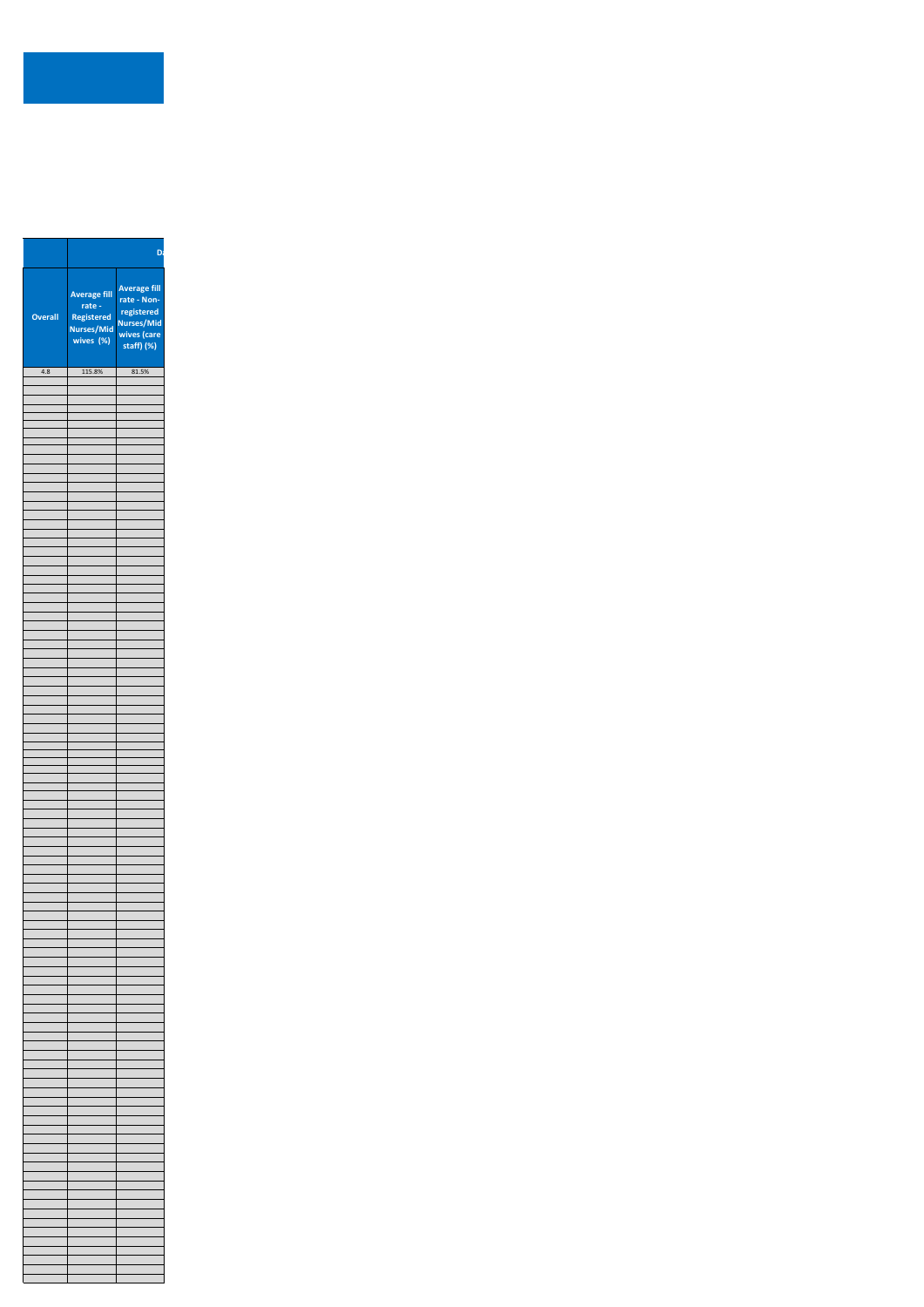|         |                                                                          | Da                                                                                          |
|---------|--------------------------------------------------------------------------|---------------------------------------------------------------------------------------------|
| Overall | <b>Average fill</b><br>$rate -$<br>Registered<br>Nurses/Mid<br>wives (%) | <b>Average fill</b><br>rate - Non-<br>registered<br>Nurses/Mid<br>wives (care<br>staff) (%) |
| 4.8     | 115.8%                                                                   | 81.5%                                                                                       |
|         |                                                                          |                                                                                             |
|         |                                                                          |                                                                                             |
|         |                                                                          |                                                                                             |
|         |                                                                          |                                                                                             |
|         |                                                                          |                                                                                             |
|         |                                                                          |                                                                                             |
|         |                                                                          |                                                                                             |
|         |                                                                          |                                                                                             |
|         |                                                                          |                                                                                             |
|         |                                                                          |                                                                                             |
|         |                                                                          |                                                                                             |
|         |                                                                          |                                                                                             |
|         |                                                                          |                                                                                             |
|         |                                                                          |                                                                                             |
|         |                                                                          |                                                                                             |
|         |                                                                          |                                                                                             |
|         |                                                                          |                                                                                             |
|         |                                                                          |                                                                                             |
|         |                                                                          |                                                                                             |
|         |                                                                          |                                                                                             |
|         |                                                                          |                                                                                             |
|         |                                                                          |                                                                                             |
|         |                                                                          |                                                                                             |
|         |                                                                          |                                                                                             |
|         |                                                                          |                                                                                             |
|         |                                                                          |                                                                                             |
|         |                                                                          |                                                                                             |
|         |                                                                          |                                                                                             |
|         |                                                                          |                                                                                             |
|         |                                                                          |                                                                                             |
|         |                                                                          |                                                                                             |
|         |                                                                          |                                                                                             |
|         |                                                                          |                                                                                             |
|         |                                                                          |                                                                                             |
|         |                                                                          |                                                                                             |
|         |                                                                          |                                                                                             |
|         |                                                                          |                                                                                             |
|         |                                                                          |                                                                                             |
|         |                                                                          |                                                                                             |
|         |                                                                          |                                                                                             |
|         |                                                                          |                                                                                             |
|         |                                                                          |                                                                                             |
|         |                                                                          |                                                                                             |
|         |                                                                          |                                                                                             |
|         |                                                                          |                                                                                             |